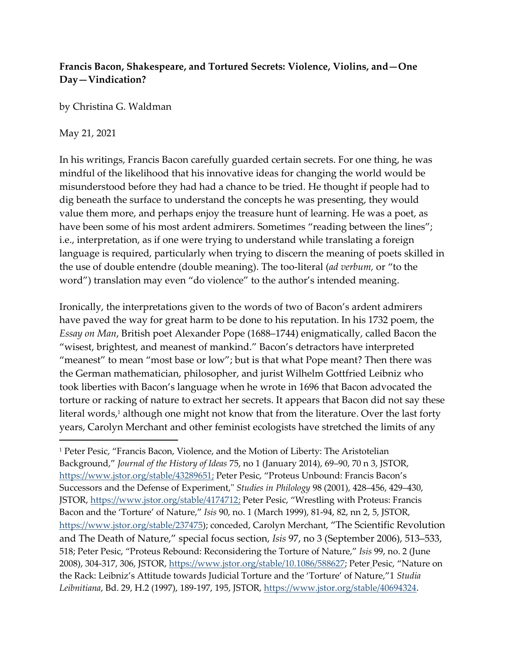# **Francis Bacon, Shakespeare, and Tortured Secrets: Violence, Violins, and—One Day—Vindication?**

by Christina G. Waldman

## May 21, 2021

In his writings, Francis Bacon carefully guarded certain secrets. For one thing, he was mindful of the likelihood that his innovative ideas for changing the world would be misunderstood before they had had a chance to be tried. He thought if people had to dig beneath the surface to understand the concepts he was presenting, they would value them more, and perhaps enjoy the treasure hunt of learning. He was a poet, as have been some of his most ardent admirers. Sometimes "reading between the lines"; i.e., interpretation, as if one were trying to understand while translating a foreign language is required, particularly when trying to discern the meaning of poets skilled in the use of double entendre (double meaning). The too-literal (*ad verbum,* or "to the word") translation may even "do violence" to the author's intended meaning.

Ironically, the interpretations given to the words of two of Bacon's ardent admirers have paved the way for great harm to be done to his reputation. In his 1732 poem, the *Essay on Man, British poet Alexander Pope (1688–1744) enigmatically, called Bacon the* "wisest, brightest, and meanest of mankind." Bacon's detractors have interpreted "meanest" to mean "most base or low"; but is that what Pope meant? Then there was the German mathematician, philosopher, and jurist Wilhelm Gottfried Leibniz who took liberties with Bacon's language when he wrote in 1696 that Bacon advocated the torture or racking of nature to extract her secrets. It appears that Bacon did not say these literal words, <sup>1</sup> although one might not know that from the literature. Over the last forty years, Carolyn Merchant and other feminist ecologists have stretched the limits of any

<sup>&</sup>lt;sup>1</sup> Peter Pesic, "Francis Bacon, Violence, and the Motion of Liberty: The Aristotelian Background," *Journal of the History of Ideas* 75, no 1 (January 2014), 69–90, 70 n 3, JSTOR, [https://www.jstor.org/stable/43289651;](https://www.jstor.org/stable/43289651) Peter Pesic, "Proteus Unbound: Francis Bacon's Successors and the Defense of Experiment," *Studies in Philology* 98 (2001), 428-456, 429-430, JSTOR, [https://www.jstor.org/stable/4174712;](https://www.jstor.org/stable/4174712) Peter Pesic, "Wrestling with Proteus: Francis Bacon and the 'Torture' of Nature," *Isis* 90, no. 1 (March 1999), 81-94, 82, nn 2, 5, JSTOR, [https://www.jstor.org/stable/237475\)](https://www.jstor.org/stable/237475); conceded, Carolyn Merchant, "The Scientific Revolution and The Death of Nature," special focus section, *Isis* 97, no 3 (September 2006), 513–533, 518; Peter Pesic, "Proteus Rebound: Reconsidering the Torture of Nature," *Isis* 99, no. 2 (June 2008), 304-317, 306, JSTOR, [https://www.jstor.org/stable/10.1086/588627;](https://www.jstor.org/stable/10.1086/588627) Peter Pesic, "Nature on the Rack: Leibniz's Attitude towards Judicial Torture and the 'Torture' of Nature,"1 *Studia Leibnitiana*, Bd. 29, H.2 (1997), 189-197, 195, JSTOR, [https://www.jstor.org/stable/40694324.](https://www.jstor.org/stable/40694324)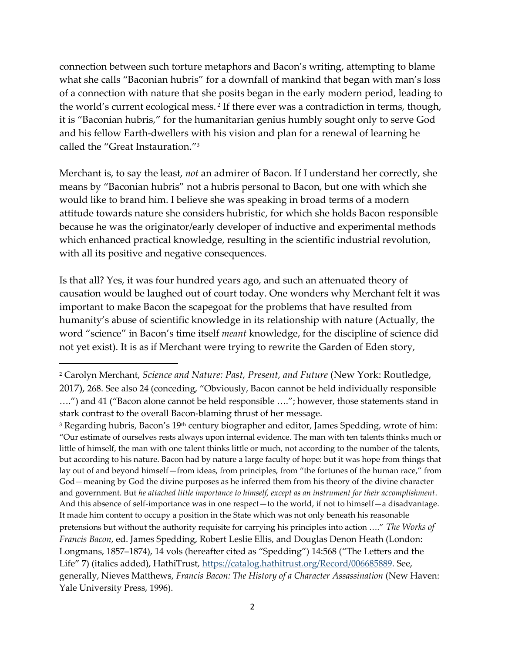connection between such torture metaphors and Bacon's writing, attempting to blame what she calls "Baconian hubris" for a downfall of mankind that began with man's loss of a connection with nature that she posits began in the early modern period, leading to the world's current ecological mess.<sup>2</sup> If there ever was a contradiction in terms, though, it is "Baconian hubris," for the humanitarian genius humbly sought only to serve God and his fellow Earth-dwellers with his vision and plan for a renewal of learning he called the "Great Instauration." 3

Merchant is, to say the least, *not* an admirer of Bacon. If I understand her correctly, she means by "Baconian hubris" not a hubris personal to Bacon, but one with which she would like to brand him. I believe she was speaking in broad terms of a modern attitude towards nature she considers hubristic, for which she holds Bacon responsible because he was the originator/early developer of inductive and experimental methods which enhanced practical knowledge, resulting in the scientific industrial revolution, with all its positive and negative consequences.

Is that all? Yes, it was four hundred years ago, and such an attenuated theory of causation would be laughed out of court today. One wonders why Merchant felt it was important to make Bacon the scapegoat for the problems that have resulted from humanity's abuse of scientific knowledge in its relationship with nature (Actually, the word "science" in Bacon's time itself *meant* knowledge, for the discipline of science did not yet exist). It is as if Merchant were trying to rewrite the Garden of Eden story,

<sup>2</sup> Carolyn Merchant, *Science and Nature: Past, Present, and Future* (New York: Routledge, 2017), 268. See also 24 (conceding, "Obviously, Bacon cannot be held individually responsible ….") and 41 ("Bacon alone cannot be held responsible …."; however, those statements stand in stark contrast to the overall Bacon-blaming thrust of her message.

<sup>&</sup>lt;sup>3</sup> Regarding hubris, Bacon's  $19<sup>th</sup>$  century biographer and editor, James Spedding, wrote of him: "Our estimate of ourselves rests always upon internal evidence. The man with ten talents thinks much or little of himself, the man with one talent thinks little or much, not according to the number of the talents, but according to his nature. Bacon had by nature a large faculty of hope: but it was hope from things that lay out of and beyond himself—from ideas, from principles, from "the fortunes of the human race," from God—meaning by God the divine purposes as he inferred them from his theory of the divine character and government. But *he attached little importance to himself, except as an instrument for their accomplishment*. And this absence of self-importance was in one respect—to the world, if not to himself—a disadvantage. It made him content to occupy a position in the State which was not only beneath his reasonable pretensions but without the authority requisite for carrying his principles into action …." *The Works of Francis Bacon*, ed. James Spedding, Robert Leslie Ellis, and Douglas Denon Heath (London: Longmans, 1857-1874), 14 vols (hereafter cited as "Spedding") 14:568 ("The Letters and the Life" 7) (italics added), HathiTrust, [https://catalog.hathitrust.org/Record/006685889.](https://catalog.hathitrust.org/Record/006685889) See, generally, Nieves Matthews, *Francis Bacon: The History of a Character Assassination* (New Haven: Yale University Press, 1996).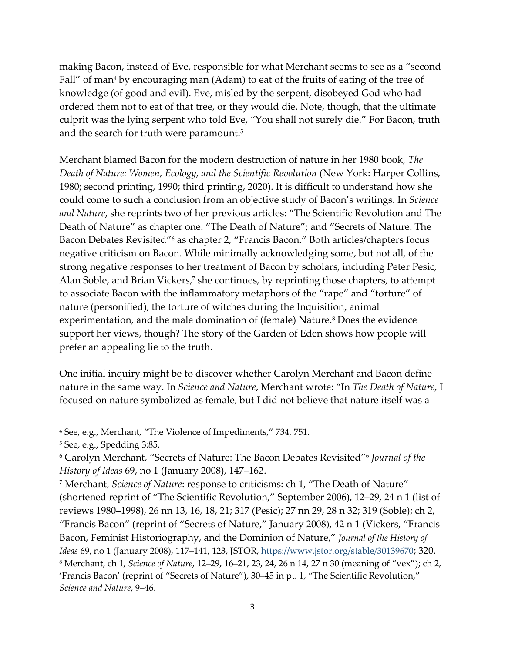making Bacon, instead of Eve, responsible for what Merchant seems to see as a "second Fall" of man<sup>4</sup> by encouraging man (Adam) to eat of the fruits of eating of the tree of knowledge (of good and evil). Eve, misled by the serpent, disobeyed God who had ordered them not to eat of that tree, or they would die. Note, though, that the ultimate culprit was the lying serpent who told Eve, "You shall not surely die." For Bacon, truth and the search for truth were paramount. 5

Merchant blamed Bacon for the modern destruction of nature in her 1980 book, *The Death of Nature: Women, Ecology, and the Scientific Revolution* (New York: Harper Collins, 1980; second printing, 1990; third printing, 2020). It is difficult to understand how she could come to such a conclusion from an objective study of Bacon's writings. In *Science and Nature*, she reprints two of her previous articles: "The Scientific Revolution and The Death of Nature" as chapter one: "The Death of Nature"; and "Secrets of Nature: The Bacon Debates Revisited"<sup>6</sup> as chapter 2, "Francis Bacon." Both articles/chapters focus negative criticism on Bacon. While minimally acknowledging some, but not all, of the strong negative responses to her treatment of Bacon by scholars, including Peter Pesic, Alan Soble, and Brian Vickers, <sup>7</sup> she continues, by reprinting those chapters, to attempt to associate Bacon with the inflammatory metaphors of the "rape" and "torture" of nature (personified), the torture of witches during the Inquisition, animal experimentation, and the male domination of (female) Nature. <sup>8</sup> Does the evidence support her views, though? The story of the Garden of Eden shows how people will prefer an appealing lie to the truth.

One initial inquiry might be to discover whether Carolyn Merchant and Bacon define nature in the same way. In *Science and Nature*, Merchant wrote: "In *The Death of Nature*, I focused on nature symbolized as female, but I did not believe that nature itself was a

<sup>4</sup> See, e.g., Merchant, "The Violence of Impediments," 734, 751.

<sup>5</sup> See, e.g., Spedding 3:85.

<sup>6</sup> Carolyn Merchant, "Secrets of Nature: The Bacon Debates Revisited"<sup>6</sup> *Journal of the History of Ideas* 69, no 1 (January 2008), 147–162.

<sup>7</sup> Merchant, *Science of Nature*: response to criticisms: ch 1, "The Death of Nature" (shortened reprint of "The Scientific Revolution," September 2006), 12‒29, 24 n 1 (list of reviews 1980‒1998), 26 nn 13, 16, 18, 21; 317 (Pesic); 27 nn 29, 28 n 32; 319 (Soble); ch 2, "Francis Bacon" (reprint of "Secrets of Nature," January 2008), 42 n 1 (Vickers, "Francis Bacon, Feminist Historiography, and the Dominion of Nature," *Journal of the History of Ideas* 69, no 1 (January 2008), 117‒141, 123, JSTOR[, https://www.jstor.org/stable/30139670](https://www.jstor.org/stable/30139670); 320. <sup>8</sup> Merchant, ch 1, *Science of Nature*, 12‒29, 16‒21, 23, 24, 26 n 14, 27 n 30 (meaning of "vex"); ch 2, 'Francis Bacon' (reprint of "Secrets of Nature"), 30‒45 in pt. 1, "The Scientific Revolution," *Science and Nature*, 9‒46.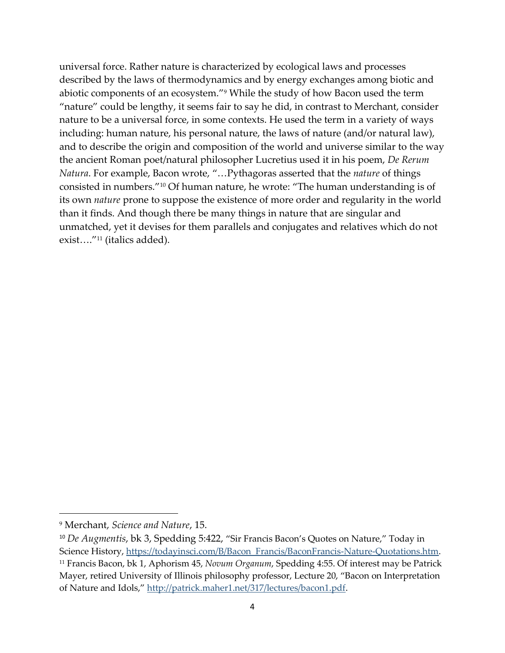universal force. Rather nature is characterized by ecological laws and processes described by the laws of thermodynamics and by energy exchanges among biotic and abiotic components of an ecosystem."<sup>9</sup> While the study of how Bacon used the term "nature" could be lengthy, it seems fair to say he did, in contrast to Merchant, consider nature to be a universal force, in some contexts. He used the term in a variety of ways including: human nature, his personal nature, the laws of nature (and/or natural law), and to describe the origin and composition of the world and universe similar to the way the ancient Roman poet/natural philosopher Lucretius used it in his poem, *De Rerum Natura*. For example, Bacon wrote, "…Pythagoras asserted that the *nature* of things consisted in numbers."<sup>10</sup> Of human nature, he wrote: "The human understanding is of its own *nature* prone to suppose the existence of more order and regularity in the world than it finds. And though there be many things in nature that are singular and unmatched, yet it devises for them parallels and conjugates and relatives which do not exist…." <sup>11</sup> (italics added).

<sup>9</sup> Merchant, *Science and Nature*, 15.

<sup>10</sup> *De Augmentis*, bk 3, Spedding 5:422, "Sir Francis Bacon's Quotes on Nature," Today in Science History, [https://todayinsci.com/B/Bacon\\_Francis/BaconFrancis-Nature-Quotations.htm.](https://todayinsci.com/B/Bacon_Francis/BaconFrancis-Nature-Quotations.htm)

<sup>11</sup> Francis Bacon, bk 1, Aphorism 45, *Novum Organum*, Spedding 4:55. Of interest may be Patrick Mayer, retired University of Illinois philosophy professor, Lecture 20, "Bacon on Interpretation of Nature and Idols," [http://patrick.maher1.net/317/lectures/bacon1.pdf.](http://patrick.maher1.net/317/lectures/bacon1.pdf)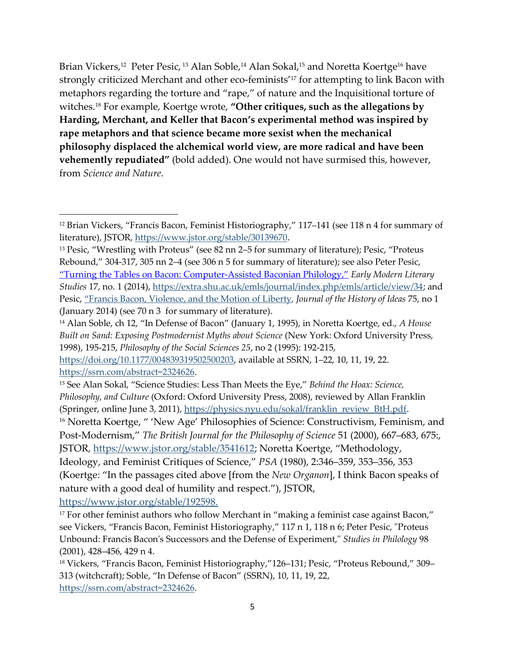Brian Vickers,<sup>12</sup> Peter Pesic, <sup>13</sup> Alan Soble,<sup>14</sup> Alan Sokal,<sup>15</sup> and Noretta Koertge<sup>16</sup> have strongly criticized Merchant and other eco-feminists' <sup>17</sup> for attempting to link Bacon with metaphors regarding the torture and "rape," of nature and the Inquisitional torture of witches. <sup>18</sup> For example, Koertge wrote, **"Other critiques, such as the allegations by Harding, Merchant, and Keller that Bacon's experimental method was inspired by rape metaphors and that science became more sexist when the mechanical philosophy displaced the alchemical world view, are more radical and have been vehemently repudiated"** (bold added). One would not have surmised this, however, from *Science and Nature*.

[https://www.jstor.org/stable/192598.](https://www.jstor.org/stable/192598)

 $12$  Brian Vickers, "Francis Bacon, Feminist Historiography," 117–141 (see 118 n 4 for summary of literature), JSTOR, [https://www.jstor.org/stable/30139670.](https://www.jstor.org/stable/30139670)

<sup>&</sup>lt;sup>13</sup> Pesic, "Wrestling with Proteus" (see 82 nn 2–5 for summary of literature); Pesic, "Proteus Rebound," 304-317, 305 nn 2-4 (see 306 n 5 for summary of literature); see also Peter Pesic, ["Turning the Tables on Bacon: Computer](https://extra.shu.ac.uk/emls/journal/index.php/emls/article/view/34)-Assisted Baconian Philology," *Early Modern Literary Studies* 17, no. 1 (2014), [https://extra.shu.ac.uk/emls/journal/index.php/emls/article/view/34;](https://extra.shu.ac.uk/emls/journal/index.php/emls/article/view/34) and Pesic, ["Francis Bacon, Violence, and the Motion of Liberty](doi:10.1353/jhi.2014.0007)*, Journal of the History of Ideas* 75, no 1 (January 2014) (see 70 n 3 for summary of literature).

<sup>14</sup> Alan Soble, ch 12, "In Defense of Bacon" (January 1, 1995), in Noretta Koertge, ed., *A House Built on Sand: Exposing Postmodernist Myths about Science* (New York: Oxford University Press, 1998), 195-215, *Philosophy of the Social Sciences 25*, no 2 (1995): 192-215,

[https://doi.org/10.1177/004839319502500203](https://doi.org/10.1177%2F004839319502500203), available at SSRN, 1‒22, 10, 11, 19, 22. [https://ssrn.com/abstract=2324626.](https://ssrn.com/abstract=2324626)

<sup>15</sup> See Alan Sokal, "Science Studies: Less Than Meets the Eye," *Behind the Hoax: Science, Philosophy, and Culture* (Oxford: Oxford University Press, 2008), reviewed by Allan Franklin (Springer, online June 3, 2011), [https://physics.nyu.edu/sokal/franklin\\_review\\_BtH.pdf.](https://physics.nyu.edu/sokal/franklin_review_BtH.pdf)

<sup>&</sup>lt;sup>16</sup> Noretta Koertge, " 'New Age' Philosophies of Science: Constructivism, Feminism, and Post-Modernism," *The British Journal for the Philosophy of Science* 51 (2000), 667–683, 675:, JSTOR, [https://www.jstor.org/stable/3541612;](https://www.jstor.org/stable/3541612) Noretta Koertge, "Methodology, Ideology, and Feminist Critiques of Science," *PSA* (1980), 2:346‒359, 353‒356, 353

<sup>(</sup>Koertge: "In the passages cited above [from the *New Organon*], I think Bacon speaks of nature with a good deal of humility and respect."), JSTOR,

<sup>&</sup>lt;sup>17</sup> For other feminist authors who follow Merchant in "making a feminist case against Bacon," see Vickers, "Francis Bacon, Feminist Historiography," 117 n 1, 118 n 6; Peter Pesic, "Proteus Unbound: Francis Bacon's Successors and the Defense of Experiment," *Studies in Philology* 98 (2001), 428–456, 429 n 4.

<sup>&</sup>lt;sup>18</sup> Vickers, "Francis Bacon, Feminist Historiography,"126-131; Pesic, "Proteus Rebound," 309-313 (witchcraft); Soble, "In Defense of Bacon" (SSRN), 10, 11, 19, 22, [https://ssrn.com/abstract=2324626.](https://ssrn.com/abstract=2324626)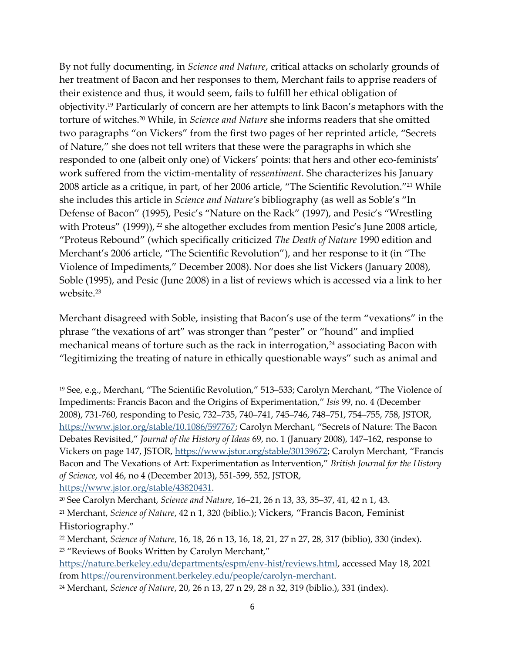By not fully documenting, in *Science and Nature*, critical attacks on scholarly grounds of her treatment of Bacon and her responses to them, Merchant fails to apprise readers of their existence and thus, it would seem, fails to fulfill her ethical obligation of objectivity.<sup>19</sup> Particularly of concern are her attempts to link Bacon's metaphors with the torture of witches. <sup>20</sup> While, in *Science and Nature* she informs readers that she omitted two paragraphs "on Vickers" from the first two pages of her reprinted article, "Secrets of Nature," she does not tell writers that these were the paragraphs in which she responded to one (albeit only one) of Vickers' points: that hers and other eco-feminists' work suffered from the victim-mentality of *ressentiment*. She characterizes his January 2008 article as a critique, in part, of her 2006 article, "The Scientific Revolution." <sup>21</sup> While she includes this article in *Science and Nature's* bibliography (as well as Soble's "In Defense of Bacon" (1995), Pesic's "Nature on the Rack" (1997), and Pesic's "Wrestling with Proteus" (1999)), <sup>22</sup> she altogether excludes from mention Pesic's June 2008 article, "Proteus Rebound" (which specifically criticized *The Death of Nature* 1990 edition and Merchant's 2006 article, "The Scientific Revolution"), and her response to it (in "The Violence of Impediments," December 2008). Nor does she list Vickers (January 2008), Soble (1995), and Pesic (June 2008) in a list of reviews which is accessed via a link to her website.<sup>23</sup>

Merchant disagreed with Soble, insisting that Bacon's use of the term "vexations" in the phrase "the vexations of art" was stronger than "pester" or "hound" and implied mechanical means of torture such as the rack in interrogation, $24$  associating Bacon with "legitimizing the treating of nature in ethically questionable ways" such as animal and

<sup>&</sup>lt;sup>19</sup> See, e.g., Merchant, "The Scientific Revolution," 513–533; Carolyn Merchant, "The Violence of Impediments: Francis Bacon and the Origins of Experimentation," *Isis* 99, no. 4 (December 2008), 731-760, responding to Pesic, 732-735, 740-741, 745-746, 748-751, 754-755, 758, JSTOR, <https://www.jstor.org/stable/10.1086/597767>; Carolyn Merchant, "Secrets of Nature: The Bacon Debates Revisited," *Journal of the History of Ideas 69*, no. 1 (January 2008), 147–162, response to Vickers on page 147, JSTOR,<https://www.jstor.org/stable/30139672>; Carolyn Merchant, "Francis Bacon and The Vexations of Art: Experimentation as Intervention," *British Journal for the History of Science*, vol 46, no 4 (December 2013), 551-599, 552, JSTOR, [https://www.jstor.org/stable/43820431.](https://www.jstor.org/stable/43820431)

<sup>&</sup>lt;sup>20</sup> See Carolyn Merchant, *Science and Nature*, 16–21, 26 n 13, 33, 35–37, 41, 42 n 1, 43.

<sup>21</sup> Merchant, *Science of Nature*, 42 n 1, 320 (biblio.); Vickers, "Francis Bacon, Feminist Historiography."

<sup>22</sup> Merchant, *Science of Nature*, 16, 18, 26 n 13, 16, 18, 21, 27 n 27, 28, 317 (biblio), 330 (index). <sup>23</sup> "Reviews of Books Written by Carolyn Merchant,"

[https://nature.berkeley.edu/departments/espm/env-hist/reviews.html,](https://nature.berkeley.edu/departments/espm/env-hist/reviews.html) accessed May 18, 2021 from [https://ourenvironment.berkeley.edu/people/carolyn-merchant.](https://ourenvironment.berkeley.edu/people/carolyn-merchant)

<sup>24</sup> Merchant, *Science of Nature*, 20, 26 n 13, 27 n 29, 28 n 32, 319 (biblio.), 331 (index).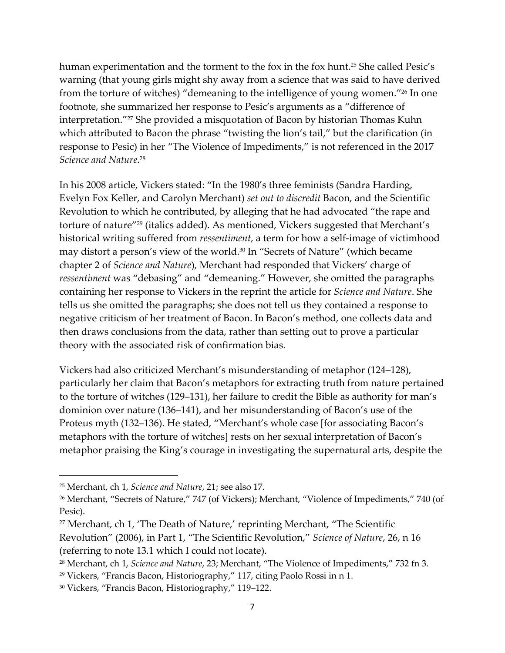human experimentation and the torment to the fox in the fox hunt. <sup>25</sup> She called Pesic's warning (that young girls might shy away from a science that was said to have derived from the torture of witches) "demeaning to the intelligence of young women." <sup>26</sup> In one footnote, she summarized her response to Pesic's arguments as a "difference of interpretation." <sup>27</sup> She provided a misquotation of Bacon by historian Thomas Kuhn which attributed to Bacon the phrase "twisting the lion's tail," but the clarification (in response to Pesic) in her "The Violence of Impediments," is not referenced in the 2017 *Science and Nature*. 28

In his 2008 article, Vickers stated: "In the 1980's three feminists (Sandra Harding, Evelyn Fox Keller, and Carolyn Merchant) *set out to discredit* Bacon, and the Scientific Revolution to which he contributed, by alleging that he had advocated "the rape and torture of nature"<sup>29</sup> (italics added). As mentioned, Vickers suggested that Merchant's historical writing suffered from *ressentiment*, a term for how a self-image of victimhood may distort a person's view of the world. <sup>30</sup> In "Secrets of Nature" (which became chapter 2 of *Science and Nature*), Merchant had responded that Vickers' charge of *ressentiment* was "debasing" and "demeaning." However, she omitted the paragraphs containing her response to Vickers in the reprint the article for *Science and Nature*. She tells us she omitted the paragraphs; she does not tell us they contained a response to negative criticism of her treatment of Bacon. In Bacon's method, one collects data and then draws conclusions from the data, rather than setting out to prove a particular theory with the associated risk of confirmation bias.

Vickers had also criticized Merchant's misunderstanding of metaphor (124–128), particularly her claim that Bacon's metaphors for extracting truth from nature pertained to the torture of witches (129‒131), her failure to credit the Bible as authority for man's dominion over nature (136–141), and her misunderstanding of Bacon's use of the Proteus myth (132–136). He stated, "Merchant's whole case [for associating Bacon's metaphors with the torture of witches] rests on her sexual interpretation of Bacon's metaphor praising the King's courage in investigating the supernatural arts, despite the

<sup>25</sup> Merchant, ch 1, *Science and Nature*, 21; see also 17.

<sup>26</sup> Merchant, "Secrets of Nature," 747 (of Vickers); Merchant, "Violence of Impediments," 740 (of Pesic).

<sup>27</sup> Merchant, ch 1, 'The Death of Nature,' reprinting Merchant, "The Scientific Revolution" (2006), in Part 1, "The Scientific Revolution," *Science of Nature*, 26, n 16 (referring to note 13.1 which I could not locate).

<sup>28</sup> Merchant, ch 1, *Science and Nature*, 23; Merchant, "The Violence of Impediments," 732 fn 3.

<sup>29</sup> Vickers, "Francis Bacon, Historiography," 117, citing Paolo Rossi in n 1.

<sup>&</sup>lt;sup>30</sup> Vickers, "Francis Bacon, Historiography," 119-122.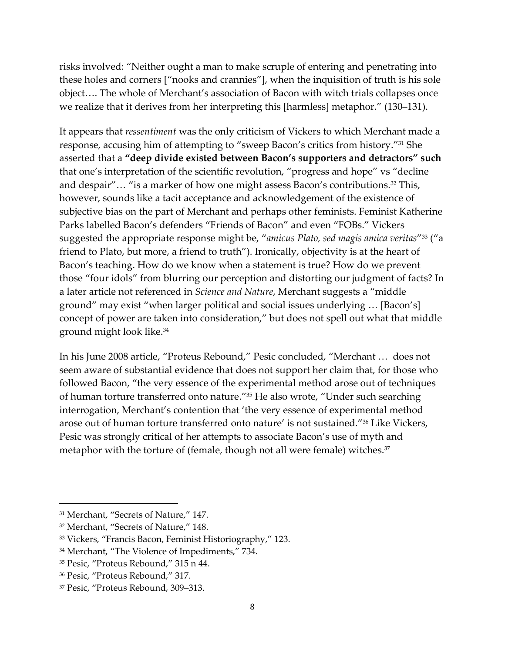risks involved: "Neither ought a man to make scruple of entering and penetrating into these holes and corners ["nooks and crannies"], when the inquisition of truth is his sole object…. The whole of Merchant's association of Bacon with witch trials collapses once we realize that it derives from her interpreting this [harmless] metaphor." (130–131).

It appears that *ressentiment* was the only criticism of Vickers to which Merchant made a response, accusing him of attempting to "sweep Bacon's critics from history." <sup>31</sup> She asserted that a **"deep divide existed between Bacon's supporters and detractors" such** that one's interpretation of the scientific revolution, "progress and hope" vs "decline and despair"… "is a marker of how one might assess Bacon's contributions. <sup>32</sup> This, however, sounds like a tacit acceptance and acknowledgement of the existence of subjective bias on the part of Merchant and perhaps other feminists. Feminist Katherine Parks labelled Bacon's defenders "Friends of Bacon" and even "FOBs." Vickers suggested the appropriate response might be, "*amicus Plato, sed magis amica veritas*" <sup>33</sup> ("a friend to Plato, but more, a friend to truth"). Ironically, objectivity is at the heart of Bacon's teaching. How do we know when a statement is true? How do we prevent those "four idols" from blurring our perception and distorting our judgment of facts? In a later article not referenced in *Science and Nature*, Merchant suggests a "middle ground" may exist "when larger political and social issues underlying … [Bacon's] concept of power are taken into consideration," but does not spell out what that middle ground might look like.<sup>34</sup>

In his June 2008 article, "Proteus Rebound," Pesic concluded, "Merchant … does not seem aware of substantial evidence that does not support her claim that, for those who followed Bacon, "the very essence of the experimental method arose out of techniques of human torture transferred onto nature." <sup>35</sup> He also wrote, "Under such searching interrogation, Merchant's contention that 'the very essence of experimental method arose out of human torture transferred onto nature' is not sustained."<sup>36</sup> Like Vickers, Pesic was strongly critical of her attempts to associate Bacon's use of myth and metaphor with the torture of (female, though not all were female) witches. 37

<sup>31</sup> Merchant, "Secrets of Nature," 147.

<sup>32</sup> Merchant, "Secrets of Nature," 148.

<sup>33</sup> Vickers, "Francis Bacon, Feminist Historiography," 123.

<sup>34</sup> Merchant, "The Violence of Impediments," 734.

<sup>35</sup> Pesic, "Proteus Rebound," 315 n 44.

<sup>36</sup> Pesic, "Proteus Rebound," 317.

<sup>&</sup>lt;sup>37</sup> Pesic, "Proteus Rebound, 309-313.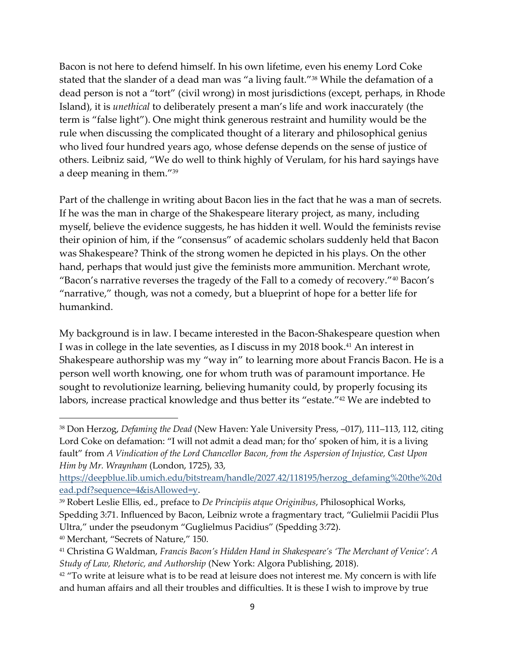Bacon is not here to defend himself. In his own lifetime, even his enemy Lord Coke stated that the slander of a dead man was "a living fault."<sup>38</sup> While the defamation of a dead person is not a "tort" (civil wrong) in most jurisdictions (except, perhaps, in Rhode Island), it is *unethical* to deliberately present a man's life and work inaccurately (the term is "false light"). One might think generous restraint and humility would be the rule when discussing the complicated thought of a literary and philosophical genius who lived four hundred years ago, whose defense depends on the sense of justice of others. Leibniz said, "We do well to think highly of Verulam, for his hard sayings have a deep meaning in them."<sup>39</sup>

Part of the challenge in writing about Bacon lies in the fact that he was a man of secrets. If he was the man in charge of the Shakespeare literary project, as many, including myself, believe the evidence suggests, he has hidden it well. Would the feminists revise their opinion of him, if the "consensus" of academic scholars suddenly held that Bacon was Shakespeare? Think of the strong women he depicted in his plays. On the other hand, perhaps that would just give the feminists more ammunition. Merchant wrote, "Bacon's narrative reverses the tragedy of the Fall to a comedy of recovery."<sup>40</sup> Bacon's "narrative," though, was not a comedy, but a blueprint of hope for a better life for humankind.

My background is in law. I became interested in the Bacon-Shakespeare question when I was in college in the late seventies, as I discuss in my 2018 book. <sup>41</sup> An interest in Shakespeare authorship was my "way in" to learning more about Francis Bacon. He is a person well worth knowing, one for whom truth was of paramount importance. He sought to revolutionize learning, believing humanity could, by properly focusing its labors, increase practical knowledge and thus better its "estate." <sup>42</sup> We are indebted to

<sup>40</sup> Merchant, "Secrets of Nature," 150.

<sup>&</sup>lt;sup>38</sup> Don Herzog, *Defaming the Dead* (New Haven: Yale University Press, -017), 111-113, 112, citing Lord Coke on defamation: "I will not admit a dead man; for tho' spoken of him, it is a living fault" from *A Vindication of the Lord Chancellor Bacon, from the Aspersion of Injustice, Cast Upon Him by Mr. Wraynham* (London, 1725), 33,

[https://deepblue.lib.umich.edu/bitstream/handle/2027.42/118195/herzog\\_defaming%20the%20d](https://deepblue.lib.umich.edu/bitstream/handle/2027.42/118195/herzog_defaming%20the%20dead.pdf?sequence=4&isAllowed=y) [ead.pdf?sequence=4&isAllowed=y.](https://deepblue.lib.umich.edu/bitstream/handle/2027.42/118195/herzog_defaming%20the%20dead.pdf?sequence=4&isAllowed=y)

<sup>39</sup> Robert Leslie Ellis, ed., preface to *De Principiis atque Originibus*, Philosophical Works, Spedding 3:71. Influenced by Bacon, Leibniz wrote a fragmentary tract, "Gulielmii Pacidii Plus Ultra," under the pseudonym "Guglielmus Pacidius" (Spedding 3:72).

<sup>41</sup> Christina G Waldman, *Francis Bacon's Hidden Hand in Shakespeare's 'The Merchant of Venice': A Study of Law, Rhetoric, and Authorship* (New York: Algora Publishing, 2018).

 $42$  "To write at leisure what is to be read at leisure does not interest me. My concern is with life and human affairs and all their troubles and difficulties. It is these I wish to improve by true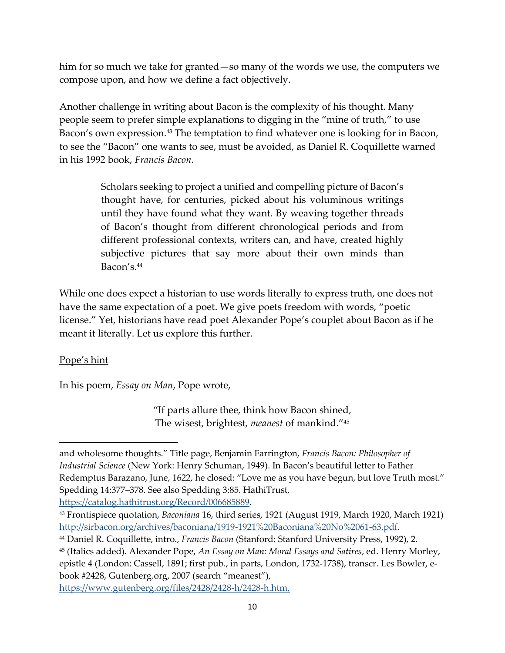him for so much we take for granted—so many of the words we use, the computers we compose upon, and how we define a fact objectively.

Another challenge in writing about Bacon is the complexity of his thought. Many people seem to prefer simple explanations to digging in the "mine of truth," to use Bacon's own expression.<sup>43</sup> The temptation to find whatever one is looking for in Bacon, to see the "Bacon" one wants to see, must be avoided, as Daniel R. Coquillette warned in his 1992 book, *Francis Bacon*.

> Scholars seeking to project a unified and compelling picture of Bacon's thought have, for centuries, picked about his voluminous writings until they have found what they want. By weaving together threads of Bacon's thought from different chronological periods and from different professional contexts, writers can, and have, created highly subjective pictures that say more about their own minds than Bacon's.<sup>44</sup>

While one does expect a historian to use words literally to express truth, one does not have the same expectation of a poet. We give poets freedom with words, "poetic license." Yet, historians have read poet Alexander Pope's couplet about Bacon as if he meant it literally. Let us explore this further.

## Pope's hint

In his poem, *Essay on Man*, Pope wrote,

"If parts allure thee, think how Bacon shined, The wisest, brightest, *meanest* of mankind."<sup>45</sup>

[https://catalog.hathitrust.org/Record/006685889.](https://catalog.hathitrust.org/Record/006685889)

[https://www.gutenberg.org/files/2428/2428-h/2428-h.htm,](https://www.gutenberg.org/files/2428/2428-h/2428-h.htm)

and wholesome thoughts." Title page, Benjamin Farrington, *Francis Bacon: Philosopher of Industrial Science* (New York: Henry Schuman, 1949). In Bacon's beautiful letter to Father Redemptus Barazano, June, 1622, he closed: "Love me as you have begun, but love Truth most." Spedding 14:377‒378. See also Spedding 3:85. HathiTrust,

<sup>43</sup> Frontispiece quotation, *Baconiana* 16, third series, 1921 (August 1919, March 1920, March 1921) [http://sirbacon.org/archives/baconiana/1919-1921%20Baconiana%20No%2061-63.pdf.](http://sirbacon.org/archives/baconiana/1919-1921%20Baconiana%20No%2061-63.pdf)

<sup>44</sup> Daniel R. Coquillette, intro., *Francis Bacon* (Stanford: Stanford University Press, 1992), 2.

<sup>45</sup> (Italics added). Alexander Pope, *An Essay on Man: Moral Essays and Satires*, ed. Henry Morley, epistle 4 (London: Cassell, 1891; first pub., in parts, London, 1732-1738), transcr. Les Bowler, ebook #2428, Gutenberg.org, 2007 (search "meanest"),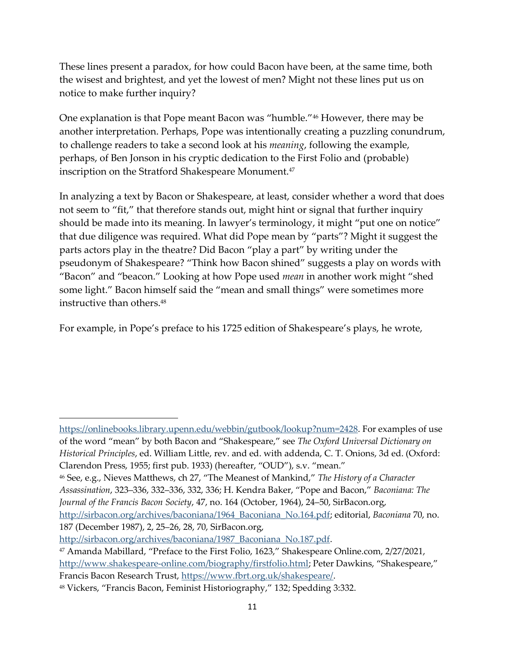These lines present a paradox, for how could Bacon have been, at the same time, both the wisest and brightest, and yet the lowest of men? Might not these lines put us on notice to make further inquiry?

One explanation is that Pope meant Bacon was "humble."<sup>46</sup> However, there may be another interpretation. Perhaps, Pope was intentionally creating a puzzling conundrum, to challenge readers to take a second look at his *meaning*, following the example, perhaps, of Ben Jonson in his cryptic dedication to the First Folio and (probable) inscription on the Stratford Shakespeare Monument.<sup>47</sup>

In analyzing a text by Bacon or Shakespeare, at least, consider whether a word that does not seem to "fit," that therefore stands out, might hint or signal that further inquiry should be made into its meaning. In lawyer's terminology, it might "put one on notice" that due diligence was required. What did Pope mean by "parts"? Might it suggest the parts actors play in the theatre? Did Bacon "play a part" by writing under the pseudonym of Shakespeare? "Think how Bacon shined" suggests a play on words with "Bacon" and "beacon." Looking at how Pope used *mean* in another work might "shed some light." Bacon himself said the "mean and small things" were sometimes more instructive than others.<sup>48</sup>

For example, in Pope's preface to his 1725 edition of Shakespeare's plays, he wrote,

187 (December 1987), 2, 25‒26, 28, 70, SirBacon.org, [http://sirbacon.org/archives/baconiana/1987\\_Baconiana\\_No.187.pdf.](http://sirbacon.org/archives/baconiana/1987_Baconiana_No.187.pdf)

https://onlinebooks.library.upenn.edu/webbin/gutbook/lookup?num=2428. For examples of use of the word "mean" by both Bacon and "Shakespeare," see *The Oxford Universal Dictionary on Historical Principles*, ed. William Little, rev. and ed. with addenda, C. T. Onions, 3d ed. (Oxford: Clarendon Press, 1955; first pub. 1933) (hereafter, "OUD"), s.v. "mean."

<sup>46</sup> See, e.g., Nieves Matthews, ch 27, "The Meanest of Mankind," *The History of a Character Assassination*, 323‒336, 332‒336, 332, 336; H. Kendra Baker, "Pope and Bacon," *Baconiana: The*  Journal of the Francis Bacon Society, 47, no. 164 (October, 1964), 24–50, SirBacon.org, [http://sirbacon.org/archives/baconiana/1964\\_Baconiana\\_No.164.pdf;](http://sirbacon.org/archives/baconiana/1964_Baconiana_No.164.pdf) editorial, *Baconiana* 70, no.

<sup>47</sup> Amanda Mabillard, "Preface to the First Folio, 1623," Shakespeare Online.com, 2/27/2021, <http://www.shakespeare-online.com/biography/firstfolio.html>; Peter Dawkins, "Shakespeare," Francis Bacon Research Trust, [https://www.fbrt.org.uk/shakespeare/.](https://www.fbrt.org.uk/shakespeare/)

<sup>48</sup> Vickers, "Francis Bacon, Feminist Historiography," 132; Spedding 3:332.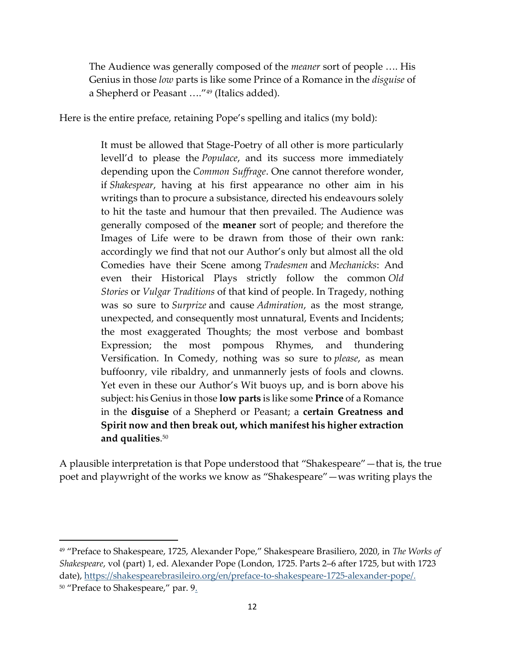The Audience was generally composed of the *meaner* sort of people …. His Genius in those *low* parts is like some Prince of a Romance in the *disguise* of a Shepherd or Peasant …."<sup>49</sup> (Italics added).

Here is the entire preface, retaining Pope's spelling and italics (my bold):

It must be allowed that Stage-Poetry of all other is more particularly levell'd to please the *Populace*, and its success more immediately depending upon the *Common Suffrage*. One cannot therefore wonder, if *Shakespear*, having at his first appearance no other aim in his writings than to procure a subsistance, directed his endeavours solely to hit the taste and humour that then prevailed. The Audience was generally composed of the **meaner** sort of people; and therefore the Images of Life were to be drawn from those of their own rank: accordingly we find that not our Author's only but almost all the old Comedies have their Scene among *Tradesmen* and *Mechanicks*: And even their Historical Plays strictly follow the common *Old Stories* or *Vulgar Traditions* of that kind of people. In Tragedy, nothing was so sure to *Surprize* and cause *Admiration*, as the most strange, unexpected, and consequently most unnatural, Events and Incidents; the most exaggerated Thoughts; the most verbose and bombast Expression; the most pompous Rhymes, and thundering Versification. In Comedy, nothing was so sure to *please*, as mean buffoonry, vile ribaldry, and unmannerly jests of fools and clowns. Yet even in these our Author's Wit buoys up, and is born above his subject: his Genius in those **low parts** is like some **Prince** of a Romance in the **disguise** of a Shepherd or Peasant; a **certain Greatness and Spirit now and then break out, which manifest his higher extraction and qualities**. 50

A plausible interpretation is that Pope understood that "Shakespeare"—that is, the true poet and playwright of the works we know as "Shakespeare"—was writing plays the

<sup>49</sup> "Preface to Shakespeare, 1725, Alexander Pope," Shakespeare Brasiliero, 2020, in *The Works of Shakespeare*, vol (part) 1, ed. Alexander Pope (London, 1725. Parts 2–6 after 1725, but with 1723 date), [https://shakespearebrasileiro.org/en/preface-to-shakespeare-1725-alexander-pope/.](https://shakespearebrasileiro.org/en/preface-to-shakespeare-1725-alexander-pope/) <sup>50</sup> "Preface to Shakespeare," par. 9.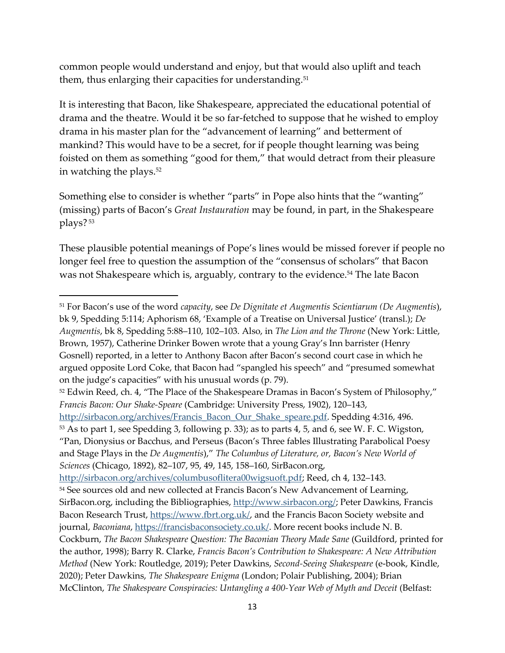common people would understand and enjoy, but that would also uplift and teach them, thus enlarging their capacities for understanding.<sup>51</sup>

It is interesting that Bacon, like Shakespeare, appreciated the educational potential of drama and the theatre. Would it be so far-fetched to suppose that he wished to employ drama in his master plan for the "advancement of learning" and betterment of mankind? This would have to be a secret, for if people thought learning was being foisted on them as something "good for them," that would detract from their pleasure in watching the plays.<sup>52</sup>

Something else to consider is whether "parts" in Pope also hints that the "wanting" (missing) parts of Bacon's *Great Instauration* may be found, in part, in the Shakespeare plays? <sup>53</sup>

These plausible potential meanings of Pope's lines would be missed forever if people no longer feel free to question the assumption of the "consensus of scholars" that Bacon was not Shakespeare which is, arguably, contrary to the evidence.<sup>54</sup> The late Bacon

[http://sirbacon.org/archives/Francis\\_Bacon\\_Our\\_Shake\\_speare.pdf.](http://sirbacon.org/archives/Francis_Bacon_Our_Shake_speare.pdf) Spedding 4:316, 496. <sup>53</sup> As to part 1, see Spedding 3, following p. 33); as to parts 4, 5, and 6, see W. F. C. Wigston, "Pan, Dionysius or Bacchus, and Perseus (Bacon's Three fables Illustrating Parabolical Poesy and Stage Plays in the *De Augmentis*)," *The Columbus of Literature, or, Bacon's New World of Sciences* (Chicago, 1892), 82‒107, 95, 49, 145, 158‒160, SirBacon.org,

[http://sirbacon.org/archives/columbusoflitera00wigsuoft.pdf;](http://sirbacon.org/archives/columbusoflitera00wigsuoft.pdf) Reed, ch 4, 132-143. <sup>54</sup> See sources old and new collected at Francis Bacon's New Advancement of Learning, SirBacon.org, including the Bibliographies, [http://www.sirbacon.org/;](http://www.sirbacon.org/) Peter Dawkins, Francis Bacon Research Trust, [https://www.fbrt.org.uk/,](https://www.fbrt.org.uk/) and the Francis Bacon Society website and journal, *Baconiana*[, https://francisbaconsociety.co.uk/.](https://francisbaconsociety.co.uk/) More recent books include N. B. Cockburn, *The Bacon Shakespeare Question: The Baconian Theory Made Sane* (Guildford, printed for the author, 1998); Barry R. Clarke, *Francis Bacon's Contribution to Shakespeare: A New Attribution Method* (New York: Routledge, 2019); Peter Dawkins, *Second-Seeing Shakespeare* (e-book, Kindle, 2020); Peter Dawkins, *The Shakespeare Enigma* (London; Polair Publishing, 2004); Brian McClinton, *The Shakespeare Conspiracies: Untangling a 400-Year Web of Myth and Deceit* (Belfast:

<sup>51</sup> For Bacon's use of the word *capacity*, see *De Dignitate et Augmentis Scientiarum (De Augmentis*), bk 9, Spedding 5:114; Aphorism 68, 'Example of a Treatise on Universal Justice' (transl.); *De Augmentis*, bk 8, Spedding 5:88‒110, 102‒103. Also, in *The Lion and the Throne* (New York: Little, Brown, 1957), Catherine Drinker Bowen wrote that a young Gray's Inn barrister (Henry Gosnell) reported, in a letter to Anthony Bacon after Bacon's second court case in which he argued opposite Lord Coke, that Bacon had "spangled his speech" and "presumed somewhat on the judge's capacities" with his unusual words (p. 79).

<sup>&</sup>lt;sup>52</sup> Edwin Reed, ch. 4, "The Place of the Shakespeare Dramas in Bacon's System of Philosophy," *Francis Bacon: Our Shake-Speare* (Cambridge: University Press, 1902), 120–143,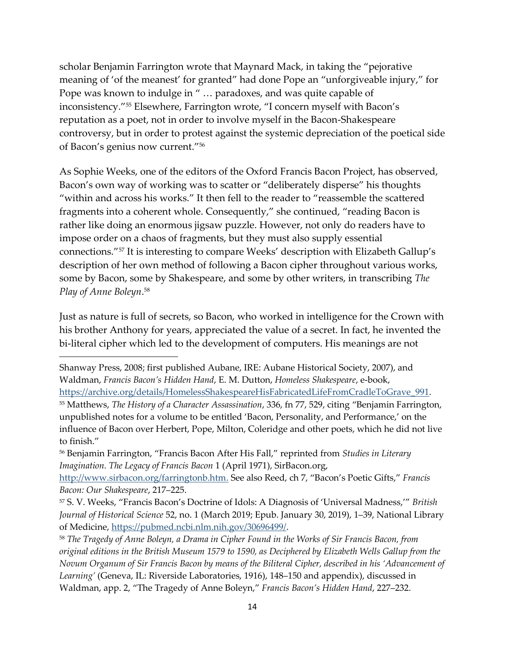scholar Benjamin Farrington wrote that Maynard Mack, in taking the "pejorative meaning of 'of the meanest' for granted" had done Pope an "unforgiveable injury," for Pope was known to indulge in " … paradoxes, and was quite capable of inconsistency."<sup>55</sup> Elsewhere, Farrington wrote, "I concern myself with Bacon's reputation as a poet, not in order to involve myself in the Bacon-Shakespeare controversy, but in order to protest against the systemic depreciation of the poetical side of Bacon's genius now current."<sup>56</sup>

As Sophie Weeks, one of the editors of the Oxford Francis Bacon Project, has observed, Bacon's own way of working was to scatter or "deliberately disperse" his thoughts "within and across his works." It then fell to the reader to "reassemble the scattered fragments into a coherent whole. Consequently," she continued, "reading Bacon is rather like doing an enormous jigsaw puzzle. However, not only do readers have to impose order on a chaos of fragments, but they must also supply essential connections."<sup>57</sup> It is interesting to compare Weeks' description with Elizabeth Gallup's description of her own method of following a Bacon cipher throughout various works, some by Bacon, some by Shakespeare, and some by other writers, in transcribing *The Play of Anne Boleyn*. 58

Just as nature is full of secrets, so Bacon, who worked in intelligence for the Crown with his brother Anthony for years, appreciated the value of a secret. In fact, he invented the bi-literal cipher which led to the development of computers. His meanings are not

Shanway Press, 2008; first published Aubane, IRE: Aubane Historical Society, 2007), and Waldman, *Francis Bacon's Hidden Hand*, E. M. Dutton, *Homeless Shakespeare*, e-book,

[https://archive.org/details/HomelessShakespeareHisFabricatedLifeFromCradleToGrave\\_991.](https://archive.org/details/HomelessShakespeareHisFabricatedLifeFromCradleToGrave_991)

<sup>55</sup> Matthews, *The History of a Character Assassination*, 336, fn 77, 529, citing "Benjamin Farrington, unpublished notes for a volume to be entitled 'Bacon, Personality, and Performance,' on the influence of Bacon over Herbert, Pope, Milton, Coleridge and other poets, which he did not live to finish."

<sup>56</sup> Benjamin Farrington, "Francis Bacon After His Fall," reprinted from *Studies in Literary Imagination. The Legacy of Francis Bacon* 1 (April 1971), SirBacon.org,

[http://www.sirbacon.org/farringtonb.htm.](http://www.sirbacon.org/farringtonb.htm) See also Reed, ch 7, "Bacon's Poetic Gifts," *Francis Bacon: Our Shakespeare*, 217‒225.

<sup>57</sup> S. V. Weeks, "Francis Bacon's Doctrine of Idols: A Diagnosis of 'Universal Madness,'" *British Journal of Historical Science* 52, no. 1 (March 2019; Epub. January 30, 2019), 1‒39, National Library of Medicine, [https://pubmed.ncbi.nlm.nih.gov/30696499/.](https://pubmed.ncbi.nlm.nih.gov/30696499/)

<sup>58</sup> *The Tragedy of Anne Boleyn, a Drama in Cipher Found in the Works of Sir Francis Bacon, from original editions in the British Museum 1579 to 1590, as Deciphered by Elizabeth Wells Gallup from the Novum Organum of Sir Francis Bacon by means of the Biliteral Cipher, described in his 'Advancement of*  Learning' (Geneva, IL: Riverside Laboratories, 1916), 148–150 and appendix), discussed in Waldman, app. 2, "The Tragedy of Anne Boleyn," *Francis Bacon's Hidden Hand*, 227-232.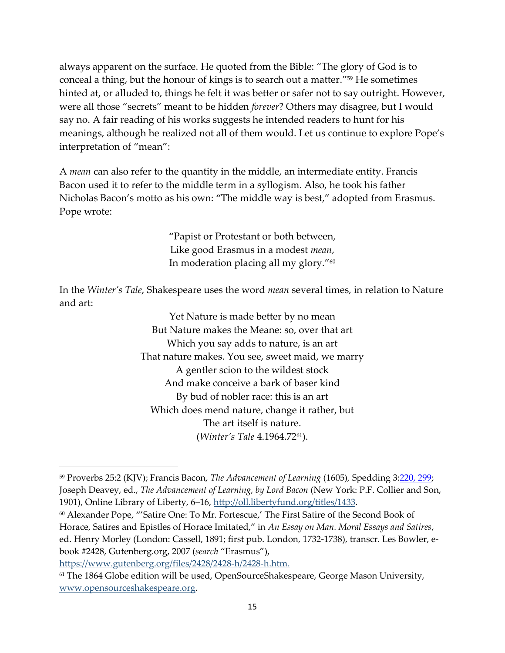always apparent on the surface. He quoted from the Bible: "The glory of God is to conceal a thing, but the honour of kings is to search out a matter." <sup>59</sup> He sometimes hinted at, or alluded to, things he felt it was better or safer not to say outright. However, were all those "secrets" meant to be hidden *forever*? Others may disagree, but I would say no. A fair reading of his works suggests he intended readers to hunt for his meanings, although he realized not all of them would. Let us continue to explore Pope's interpretation of "mean":

A *mean* can also refer to the quantity in the middle, an intermediate entity. Francis Bacon used it to refer to the middle term in a syllogism. Also, he took his father Nicholas Bacon's motto as his own: "The middle way is best," adopted from Erasmus. Pope wrote:

> "Papist or Protestant or both between, Like good Erasmus in a modest *mean*, In moderation placing all my glory."<sup>60</sup>

In the *Winter's Tale*, Shakespeare uses the word *mean* several times, in relation to Nature and art:

> Yet Nature is made better by no mean But Nature makes the Meane: so, over that art Which you say adds to nature, is an art That nature makes. You see, sweet maid, we marry A gentler scion to the wildest stock And make conceive a bark of baser kind By bud of nobler race: this is an art Which does mend nature, change it rather, but The art itself is nature. (*Winter's Tale* 4.1964.7261).

[https://www.gutenberg.org/files/2428/2428-h/2428-h.htm.](https://www.gutenberg.org/files/2428/2428-h/2428-h.htm)

<sup>59</sup> Proverbs 25:2 (KJV); Francis Bacon, *The Advancement of Learning* (1605)*,* Spedding [3:220, 299;](https://hdl.handle.net/2027/hvd.32044014199384) Joseph Deavey, ed., *The Advancement of Learning, by Lord Bacon* (New York: P.F. Collier and Son, 1901), Online Library of Liberty, 6-16, [http://oll.libertyfund.org/titles/1433.](http://oll.libertyfund.org/titles/1433)

<sup>60</sup> Alexander Pope, "'Satire One: To Mr. Fortescue,' The First Satire of the Second Book of Horace, Satires and Epistles of Horace Imitated," in *An Essay on Man. Moral Essays and Satires*, ed. Henry Morley (London: Cassell, 1891; first pub. London, 1732-1738), transcr. Les Bowler, ebook #2428, Gutenberg.org, 2007 (*search* "Erasmus"),

<sup>&</sup>lt;sup>61</sup> The 1864 Globe edition will be used, OpenSourceShakespeare, George Mason University, [www.opensourceshakespeare.org.](http://www.opensourceshakespeare.org/)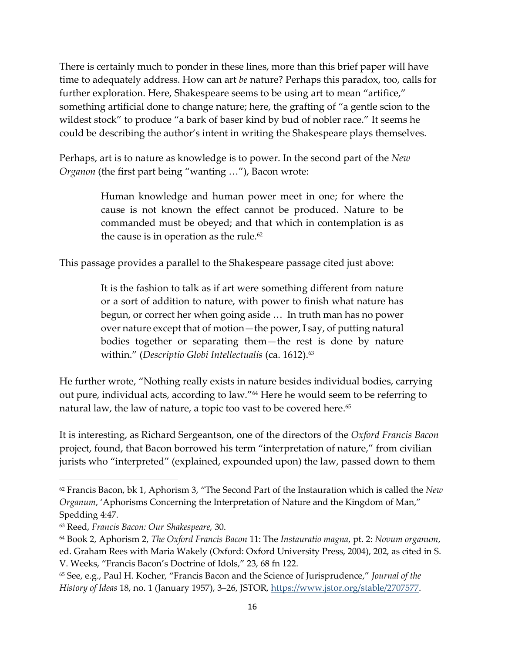There is certainly much to ponder in these lines, more than this brief paper will have time to adequately address. How can art *be* nature? Perhaps this paradox, too, calls for further exploration. Here, Shakespeare seems to be using art to mean "artifice," something artificial done to change nature; here, the grafting of "a gentle scion to the wildest stock" to produce "a bark of baser kind by bud of nobler race." It seems he could be describing the author's intent in writing the Shakespeare plays themselves.

Perhaps, art is to nature as knowledge is to power. In the second part of the *New Organon* (the first part being "wanting …"), Bacon wrote:

> Human knowledge and human power meet in one; for where the cause is not known the effect cannot be produced. Nature to be commanded must be obeyed; and that which in contemplation is as the cause is in operation as the rule.<sup>62</sup>

This passage provides a parallel to the Shakespeare passage cited just above:

It is the fashion to talk as if art were something different from nature or a sort of addition to nature, with power to finish what nature has begun, or correct her when going aside … In truth man has no power over nature except that of motion—the power, I say, of putting natural bodies together or separating them—the rest is done by nature within." (*Descriptio Globi Intellectualis* (ca. 1612).<sup>63</sup>

He further wrote, "Nothing really exists in nature besides individual bodies, carrying out pure, individual acts, according to law."<sup>64</sup> Here he would seem to be referring to natural law, the law of nature, a topic too vast to be covered here. 65

It is interesting, as Richard Sergeantson, one of the directors of the *Oxford Francis Bacon* project, found, that Bacon borrowed his term "interpretation of nature," from civilian jurists who "interpreted" (explained, expounded upon) the law, passed down to them

<sup>62</sup> Francis Bacon, bk 1, Aphorism 3, "The Second Part of the Instauration which is called the *New Organum*, 'Aphorisms Concerning the Interpretation of Nature and the Kingdom of Man," Spedding 4:47.

<sup>63</sup> Reed, *Francis Bacon: Our Shakespeare,* 30.

<sup>64</sup> Book 2, Aphorism 2, *The Oxford Francis Bacon* 11: The *Instauratio magna*, pt. 2: *Novum organum*, ed. Graham Rees with Maria Wakely (Oxford: Oxford University Press, 2004), 202, as cited in S. V. Weeks, "Francis Bacon's Doctrine of Idols," 23, 68 fn 122.

<sup>65</sup> See, e.g., Paul H. Kocher, "Francis Bacon and the Science of Jurisprudence," *Journal of the History of Ideas* 18, no. 1 (January 1957), 3‒26, JSTOR, [https://www.jstor.org/stable/2707577.](https://www.jstor.org/stable/2707577)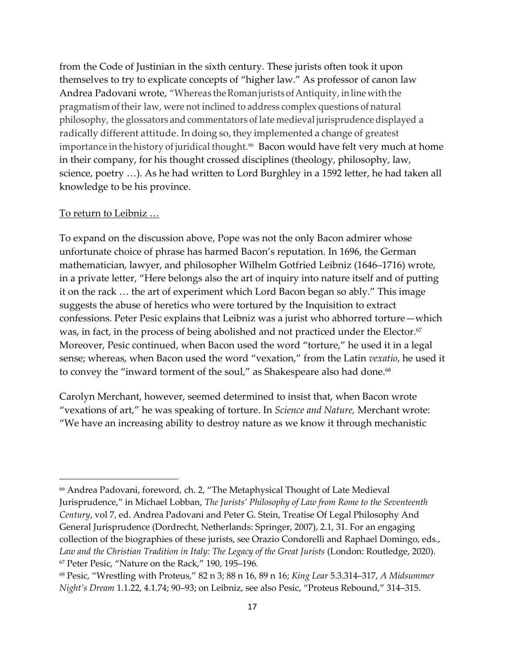from the Code of Justinian in the sixth century. These jurists often took it upon themselves to try to explicate concepts of "higher law." As professor of canon law Andrea Padovani wrote, "Whereas the Roman jurists of Antiquity, in line with the pragmatism of their law, were not inclined to address complex questions of natural philosophy, the glossators and commentators of late medieval jurisprudence displayed a radically different attitude. In doing so, they implemented a change of greatest importance in the history of juridical thought.<sup>66</sup> Bacon would have felt very much at home in their company, for his thought crossed disciplines (theology, philosophy, law, science, poetry …). As he had written to Lord Burghley in a 1592 letter, he had taken all knowledge to be his province.

## To return to Leibniz …

To expand on the discussion above, Pope was not the only Bacon admirer whose unfortunate choice of phrase has harmed Bacon's reputation. In 1696, the German mathematician, lawyer, and philosopher Wilhelm Gotfried Leibniz (1646–1716) wrote, in a private letter, "Here belongs also the art of inquiry into nature itself and of putting it on the rack … the art of experiment which Lord Bacon began so ably." This image suggests the abuse of heretics who were tortured by the Inquisition to extract confessions. Peter Pesic explains that Leibniz was a jurist who abhorred torture—which was, in fact, in the process of being abolished and not practiced under the Elector.<sup>67</sup> Moreover, Pesic continued, when Bacon used the word "torture," he used it in a legal sense; whereas, when Bacon used the word "vexation," from the Latin *vexatio*, he used it to convey the "inward torment of the soul," as Shakespeare also had done.<sup>68</sup>

Carolyn Merchant, however, seemed determined to insist that, when Bacon wrote "vexations of art," he was speaking of torture. In *Science and Nature,* Merchant wrote: "We have an increasing ability to destroy nature as we know it through mechanistic

<sup>66</sup> Andrea Padovani, foreword, ch. 2, "The Metaphysical Thought of Late Medieval Jurisprudence," in Michael Lobban, *The Jurists' Philosophy of Law from Rome to the Seventeenth Century*, vol 7, ed. Andrea Padovani and Peter G. Stein, Treatise Of Legal Philosophy And General Jurisprudence (Dordrecht, Netherlands: Springer, 2007), 2.1, 31. For an engaging collection of the biographies of these jurists, see Orazio Condorelli and Raphael Domingo, eds., Law and the Christian Tradition in Italy: The Legacy of the Great Jurists (London: Routledge, 2020). <sup>67</sup> Peter Pesic, "Nature on the Rack," 190, 195-196.

<sup>68</sup> Pesic, "Wrestling with Proteus," 82 n 3; 88 n 16, 89 n 16; *King Lear* 5.3.314‒317, *A Midsummer Night's Dream* 1.1.22, 4.1.74; 90–93; on Leibniz, see also Pesic, "Proteus Rebound," 314–315.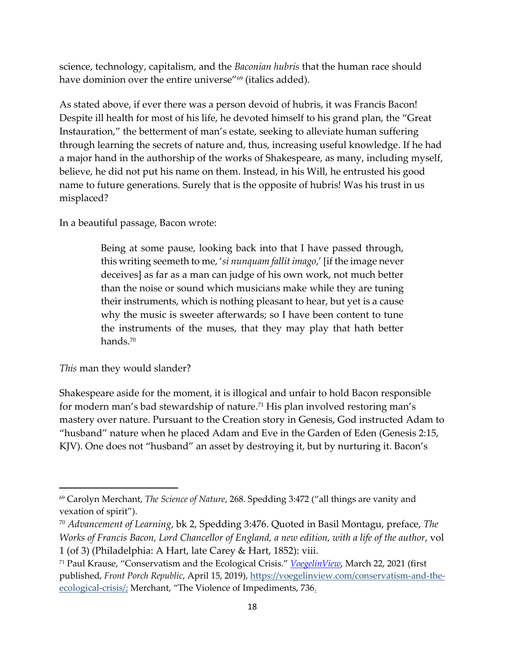science, technology, capitalism, and the *Baconian hubris* that the human race should have dominion over the entire universe"<sup>69</sup> (italics added).

As stated above, if ever there was a person devoid of hubris, it was Francis Bacon! Despite ill health for most of his life, he devoted himself to his grand plan, the "Great Instauration," the betterment of man's estate, seeking to alleviate human suffering through learning the secrets of nature and, thus, increasing useful knowledge. If he had a major hand in the authorship of the works of Shakespeare, as many, including myself, believe, he did not put his name on them. Instead, in his Will, he entrusted his good name to future generations. Surely that is the opposite of hubris! Was his trust in us misplaced?

In a beautiful passage, Bacon wrote:

Being at some pause, looking back into that I have passed through, this writing seemeth to me, '*si nunquam fallit imago*,' [if the image never deceives] as far as a man can judge of his own work, not much better than the noise or sound which musicians make while they are tuning their instruments, which is nothing pleasant to hear, but yet is a cause why the music is sweeter afterwards; so I have been content to tune the instruments of the muses, that they may play that hath better hands.<sup>70</sup>

## *This* man they would slander?

Shakespeare aside for the moment, it is illogical and unfair to hold Bacon responsible for modern man's bad stewardship of nature.<sup>71</sup> His plan involved restoring man's mastery over nature. Pursuant to the Creation story in Genesis, God instructed Adam to "husband" nature when he placed Adam and Eve in the Garden of Eden (Genesis 2:15, KJV). One does not "husband" an asset by destroying it, but by nurturing it. Bacon's

<sup>69</sup> Carolyn Merchant, *The Science of Nature*, 268. Spedding 3:472 ("all things are vanity and vexation of spirit").

<sup>70</sup> *Advancement of Learning*, bk 2, Spedding 3:476. Quoted in Basil Montagu, preface, *The Works of Francis Bacon, Lord Chancellor of England, a new edition, with a life of the author*, vol 1 (of 3) (Philadelphia: A Hart, late Carey & Hart, 1852): viii.

<sup>71</sup> Paul Krause, "Conservatism and the Ecological Crisis." *[VoegelinView](https://voegelinview.com/conservatism-and-the-ecological-crisis/)*, March 22, 2021 (first published, *Front Porch Republic*, April 15, 2019), [https://voegelinview.com/conservatism-and-the](https://voegelinview.com/conservatism-and-the-ecological-crisis/)[ecological-crisis/;](https://voegelinview.com/conservatism-and-the-ecological-crisis/) Merchant, "The Violence of Impediments, 736.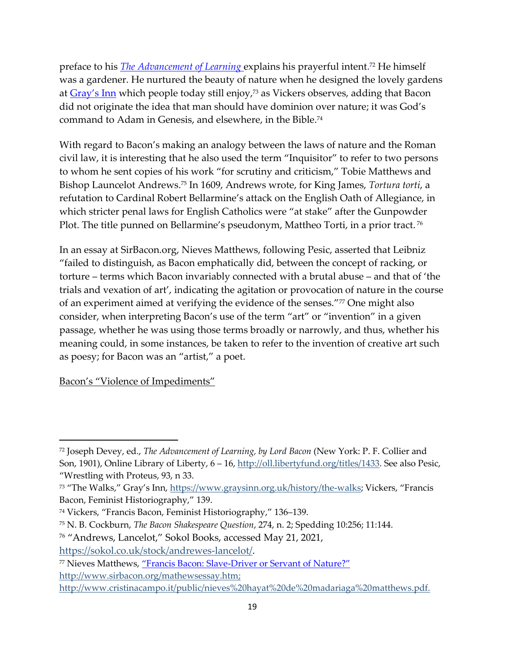preface to his *[The Advancement of Learning](https://oll-resources.s3.us-east-2.amazonaws.com/oll3/store/titles/1433/Bacon_AdvancementLearning0414.pdf)* explains his prayerful intent. <sup>72</sup> He himself was a gardener. He nurtured the beauty of nature when he designed the lovely gardens at <u>[Gray's Inn](https://www.graysinn.org.uk/history/the-walks)</u> which people today still enjoy,<sup>73</sup> as Vickers observes, adding that Bacon did not originate the idea that man should have dominion over nature; it was God's command to Adam in Genesis, and elsewhere, in the Bible. 74

With regard to Bacon's making an analogy between the laws of nature and the Roman civil law, it is interesting that he also used the term "Inquisitor" to refer to two persons to whom he sent copies of his work "for scrutiny and criticism," Tobie Matthews and Bishop Launcelot Andrews. <sup>75</sup> In 1609, Andrews wrote, for King James, *Tortura torti*, a refutation to Cardinal Robert Bellarmine's attack on the English Oath of Allegiance, in which stricter penal laws for English Catholics were "at stake" after the Gunpowder Plot. The title punned on Bellarmine's pseudonym, Mattheo Torti, in a prior tract.<sup>76</sup>

In an essay at SirBacon.org, Nieves Matthews, following Pesic, asserted that Leibniz "failed to distinguish, as Bacon emphatically did, between the concept of racking, or torture – terms which Bacon invariably connected with a brutal abuse – and that of 'the trials and vexation of art', indicating the agitation or provocation of nature in the course of an experiment aimed at verifying the evidence of the senses."<sup>77</sup> One might also consider, when interpreting Bacon's use of the term "art" or "invention" in a given passage, whether he was using those terms broadly or narrowly, and thus, whether his meaning could, in some instances, be taken to refer to the invention of creative art such as poesy; for Bacon was an "artist," a poet.

Bacon's "Violence of Impediments"

<sup>72</sup> Joseph Devey, ed., *The Advancement of Learning, by Lord Bacon* (New York: P. F. Collier and Son, 1901), Online Library of Liberty, 6 – 16, [http://oll.libertyfund.org/titles/1433.](http://oll.libertyfund.org/titles/1433) See also Pesic, "Wrestling with Proteus, 93, n 33.

<sup>73</sup> "The Walks," Gray's Inn, <https://www.graysinn.org.uk/history/the-walks>; Vickers, "Francis Bacon, Feminist Historiography," 139.

<sup>74</sup> Vickers, "Francis Bacon, Feminist Historiography," 136-139.

<sup>75</sup> N. B. Cockburn, *The Bacon Shakespeare Question*, 274, n. 2; Spedding 10:256; 11:144.

<sup>76</sup> "Andrews, Lancelot," Sokol Books, accessed May 21, 2021,

[https://sokol.co.uk/stock/andrewes-lancelot/.](https://sokol.co.uk/stock/andrewes-lancelot/)

<sup>77</sup> Nieves Matthews, "Francis Bacon: Slave-[Driver or Servant of Nature?"](http://www.sirbacon.org/mathewsessay.htm) [http://www.sirbacon.org/mathewsessay.htm;](http://www.sirbacon.org/mathewsessay.htm;%20%20http:/www.cristinacampo.it/public/nieves%20hayat%20de%20madariaga%20matthews.pdf.)  [http://www.cristinacampo.it/public/nieves%20hayat%20de%20madariaga%20matthews.pdf.](http://www.sirbacon.org/mathewsessay.htm;%20%20http:/www.cristinacampo.it/public/nieves%20hayat%20de%20madariaga%20matthews.pdf.)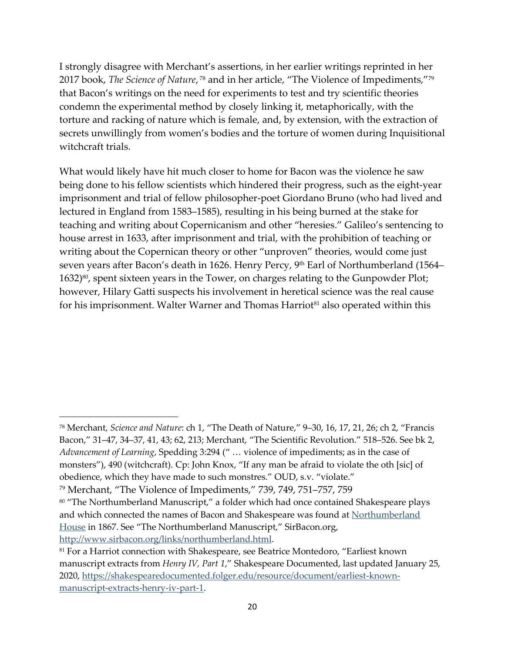I strongly disagree with Merchant's assertions, in her earlier writings reprinted in her 2017 book, *The Science of Nature*, <sup>78</sup> and in her article, "The Violence of Impediments,"<sup>79</sup> that Bacon's writings on the need for experiments to test and try scientific theories condemn the experimental method by closely linking it, metaphorically, with the torture and racking of nature which is female, and, by extension, with the extraction of secrets unwillingly from women's bodies and the torture of women during Inquisitional witchcraft trials.

What would likely have hit much closer to home for Bacon was the violence he saw being done to his fellow scientists which hindered their progress, such as the eight-year imprisonment and trial of fellow philosopher-poet Giordano Bruno (who had lived and lectured in England from 1583–1585), resulting in his being burned at the stake for teaching and writing about Copernicanism and other "heresies." Galileo's sentencing to house arrest in 1633, after imprisonment and trial, with the prohibition of teaching or writing about the Copernican theory or other "unproven" theories, would come just seven years after Bacon's death in 1626. Henry Percy, 9th Earl of Northumberland (1564– 1632)<sup>80</sup>, spent sixteen years in the Tower, on charges relating to the Gunpowder Plot; however, Hilary Gatti suspects his involvement in heretical science was the real cause for his imprisonment. Walter Warner and Thomas Harriot<sup>81</sup> also operated within this

<sup>78</sup> Merchant, *Science and Nature*: ch 1, "The Death of Nature," 9‒30, 16, 17, 21, 26; ch 2, "Francis Bacon," 31–47, 34–37, 41, 43; 62, 213; Merchant, "The Scientific Revolution." 518–526. See bk 2, *Advancement of Learning*, Spedding 3:294 (" … violence of impediments; as in the case of monsters"), 490 (witchcraft). Cp: John Knox, "If any man be afraid to violate the oth [sic] of obedience, which they have made to such monstres." OUD, s.v. "violate."

<sup>&</sup>lt;sup>79</sup> Merchant, "The Violence of Impediments," 739, 749, 751-757, 759

<sup>80 &</sup>quot;The Northumberland Manuscript," a folder which had once contained Shakespeare plays and which connected the names of Bacon and Shakespeare was found at [Northumberland](https://www.british-history.ac.uk/survey-london/vol18/pt2/pp10-20)  [House](https://www.british-history.ac.uk/survey-london/vol18/pt2/pp10-20) in 1867. See "The Northumberland Manuscript," SirBacon.org, [http://www.sirbacon.org/links/northumberland.html.](http://www.sirbacon.org/links/northumberland.html)

<sup>81</sup> For a Harriot connection with Shakespeare, see Beatrice Montedoro, "Earliest known manuscript extracts from *Henry IV, Part 1*," Shakespeare Documented, last updated January 25, 2020, [https://shakespearedocumented.folger.edu/resource/document/earliest-known](https://shakespearedocumented.folger.edu/resource/document/earliest-known-manuscript-extracts-henry-iv-part-1)[manuscript-extracts-henry-iv-part-1.](https://shakespearedocumented.folger.edu/resource/document/earliest-known-manuscript-extracts-henry-iv-part-1)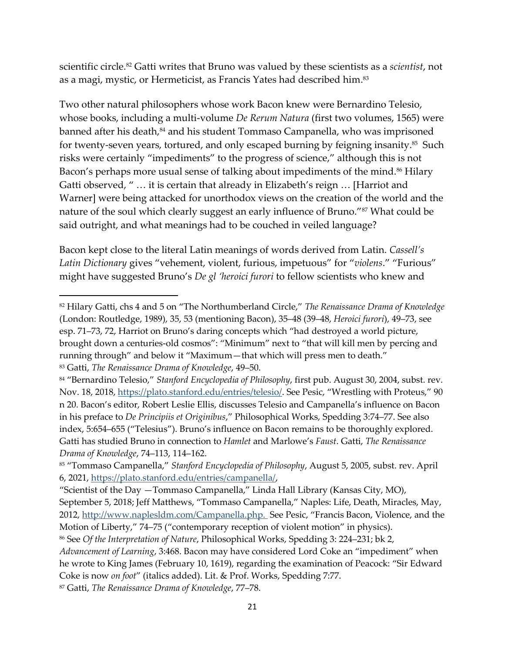scientific circle.<sup>82</sup> Gatti writes that Bruno was valued by these scientists as a *scientist*, not as a magi, mystic, or Hermeticist, as Francis Yates had described him.<sup>83</sup>

Two other natural philosophers whose work Bacon knew were Bernardino Telesio, whose books, including a multi-volume *De Rerum Natura* (first two volumes, 1565) were banned after his death, $^{84}$  and his student Tommaso Campanella, who was imprisoned for twenty-seven years, tortured, and only escaped burning by feigning insanity.<sup>85</sup> Such risks were certainly "impediments" to the progress of science," although this is not Bacon's perhaps more usual sense of talking about impediments of the mind.<sup>86</sup> Hilary Gatti observed, " … it is certain that already in Elizabeth's reign … [Harriot and Warner] were being attacked for unorthodox views on the creation of the world and the nature of the soul which clearly suggest an early influence of Bruno."<sup>87</sup> What could be said outright, and what meanings had to be couched in veiled language?

Bacon kept close to the literal Latin meanings of words derived from Latin. *Cassell's Latin Dictionary* gives "vehement, violent, furious, impetuous" for "*violens*." "Furious" might have suggested Bruno's *De gl 'heroici furori* to fellow scientists who knew and

<sup>87</sup> Gatti, *The Renaissance Drama of Knowledge*, 77‒78.

<sup>82</sup> Hilary Gatti, chs 4 and 5 on "The Northumberland Circle," *The Renaissance Drama of Knowledge* (London: Routledge, 1989), 35, 53 (mentioning Bacon), 35‒48 (39‒48, *Heroici furori*), 49‒73, see esp. 71–73, 72, Harriot on Bruno's daring concepts which "had destroyed a world picture, brought down a centuries-old cosmos": "Minimum" next to "that will kill men by percing and running through" and below it "Maximum—that which will press men to death." 83 Gatti, *The Renaissance Drama of Knowledge*, 49–50.

<sup>84</sup> "Bernardino Telesio," *Stanford Encyclopedia of Philosophy*, first pub. August 30, 2004, subst. rev. Nov. 18, 2018,<https://plato.stanford.edu/entries/telesio/>. See Pesic, "Wrestling with Proteus," 90 n 20. Bacon's editor, Robert Leslie Ellis, discusses Telesio and Campanella's influence on Bacon in his preface to *De Principiis et Originibus*," Philosophical Works, Spedding 3:74‒77. See also index, 5:654–655 ("Telesius"). Bruno's influence on Bacon remains to be thoroughly explored. Gatti has studied Bruno in connection to *Hamlet* and Marlowe's *Faust*. Gatti, *The Renaissance Drama of Knowledge*, 74‒113, 114‒162.

<sup>85</sup> "Tommaso Campanella," *Stanford Encyclopedia of Philosophy*, August 5, 2005, subst. rev. April 6, 2021, [https://plato.stanford.edu/entries/campanella/,](https://plato.stanford.edu/entries/campanella/)

<sup>&</sup>quot;Scientist of the Day —Tommaso Campanella," Linda Hall Library (Kansas City, MO), September 5, 2018; Jeff Matthews, "Tommaso Campanella," Naples: Life, Death, Miracles, May, 2012, [http://www.naplesldm.com/Campanella.php.](http://www.naplesldm.com/Campanella.php) See Pesic, "Francis Bacon, Violence, and the Motion of Liberty," 74–75 ("contemporary reception of violent motion" in physics).

<sup>&</sup>lt;sup>86</sup> See *Of the Interpretation of Nature*, Philosophical Works, Spedding 3: 224–231; bk 2,

*Advancement of Learning*, 3:468. Bacon may have considered Lord Coke an "impediment" when he wrote to King James (February 10, 1619), regarding the examination of Peacock: "Sir Edward Coke is now *on foot*" (italics added). Lit. & Prof. Works, Spedding 7:77.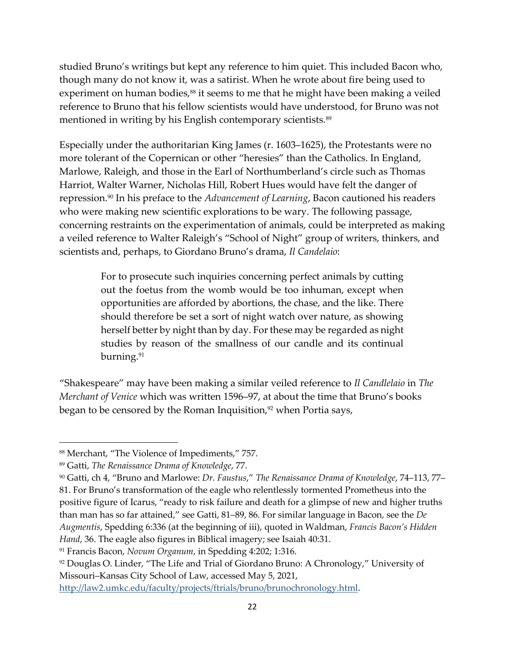studied Bruno's writings but kept any reference to him quiet. This included Bacon who, though many do not know it, was a satirist. When he wrote about fire being used to experiment on human bodies,<sup>88</sup> it seems to me that he might have been making a veiled reference to Bruno that his fellow scientists would have understood, for Bruno was not mentioned in writing by his English contemporary scientists.<sup>89</sup>

Especially under the authoritarian King James (r. 1603–1625), the Protestants were no more tolerant of the Copernican or other "heresies" than the Catholics. In England, Marlowe, Raleigh, and those in the Earl of Northumberland's circle such as Thomas Harriot, Walter Warner, Nicholas Hill, Robert Hues would have felt the danger of repression.<sup>90</sup> In his preface to the *Advancement of Learning*, Bacon cautioned his readers who were making new scientific explorations to be wary. The following passage, concerning restraints on the experimentation of animals, could be interpreted as making a veiled reference to Walter Raleigh's "School of Night" group of writers, thinkers, and scientists and, perhaps, to Giordano Bruno's drama, *Il Candelaio*:

> For to prosecute such inquiries concerning perfect animals by cutting out the foetus from the womb would be too inhuman, except when opportunities are afforded by abortions, the chase, and the like. There should therefore be set a sort of night watch over nature, as showing herself better by night than by day. For these may be regarded as night studies by reason of the smallness of our candle and its continual burning.<sup>91</sup>

"Shakespeare" may have been making a similar veiled reference to *Il Candlelaio* in *The Merchant of Venice* which was written 1596–97, at about the time that Bruno's books began to be censored by the Roman Inquisition, $92$  when Portia says,

<sup>88</sup> Merchant, "The Violence of Impediments," 757.

<sup>89</sup> Gatti, *The Renaissance Drama of Knowledge*, 77.

<sup>90</sup> Gatti, ch 4, "Bruno and Marlowe: *Dr. Faustus*," *The Renaissance Drama of Knowledge*, 74‒113, 77‒ 81. For Bruno's transformation of the eagle who relentlessly tormented Prometheus into the positive figure of Icarus, "ready to risk failure and death for a glimpse of new and higher truths than man has so far attained," see Gatti, 81‒89, 86. For similar language in Bacon, see the *De Augmentis*, Spedding 6:336 (at the beginning of iii), quoted in Waldman, *Francis Bacon's Hidden Hand*, 36. The eagle also figures in Biblical imagery; see Isaiah 40:31.

<sup>91</sup> Francis Bacon, *Novum Organum*, in Spedding 4:202; 1:316.

<sup>92</sup> Douglas O. Linder, "The Life and Trial of Giordano Bruno: A Chronology," University of Missouri-Kansas City School of Law, accessed May 5, 2021,

[http://law2.umkc.edu/faculty/projects/ftrials/bruno/brunochronology.html.](http://law2.umkc.edu/faculty/projects/ftrials/bruno/brunochronology.html)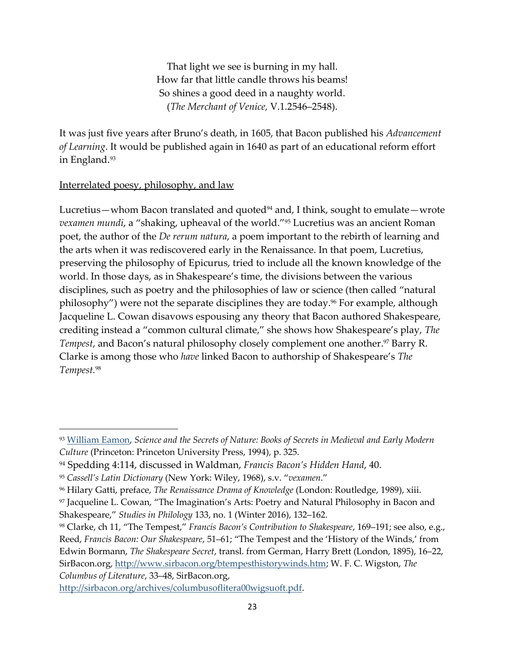That light we see is burning in my hall. How far that little candle throws his beams! So shines a good deed in a naughty world. (*The Merchant of Venice*, V.1.2546–2548).

It was just five years after Bruno's death, in 1605, that Bacon published his *Advancement of Learning*. It would be published again in 1640 as part of an educational reform effort in England.<sup>93</sup>

## Interrelated poesy, philosophy, and law

Lucretius—whom Bacon translated and quoted $94$  and, I think, sought to emulate—wrote *vexamen mundi*, a "shaking, upheaval of the world."<sup>95</sup> Lucretius was an ancient Roman poet, the author of the *De rerum natura*, a poem important to the rebirth of learning and the arts when it was rediscovered early in the Renaissance. In that poem, Lucretius, preserving the philosophy of Epicurus, tried to include all the known knowledge of the world. In those days, as in Shakespeare's time, the divisions between the various disciplines, such as poetry and the philosophies of law or science (then called "natural philosophy") were not the separate disciplines they are today.<sup>96</sup> For example, although Jacqueline L. Cowan disavows espousing any theory that Bacon authored Shakespeare, crediting instead a "common cultural climate," she shows how Shakespeare's play, *The Tempest*, and Bacon's natural philosophy closely complement one another. <sup>97</sup> Barry R. Clarke is among those who *have* linked Bacon to authorship of Shakespeare's *The Tempest.* 98

<sup>93</sup> [William Eamon,](https://williameamon.com/) *Science and the Secrets of Nature: Books of Secrets in Medieval and Early Modern Culture* (Princeton: Princeton University Press, 1994), p. 325.

<sup>94</sup> Spedding 4:114, discussed in Waldman, *Francis Bacon's Hidden Hand*, 40.

<sup>95</sup> *Cassell's Latin Dictionary* (New York: Wiley, 1968), s.v. "*vexamen*."

<sup>96</sup> Hilary Gatti, preface, *The Renaissance Drama of Knowledge* (London: Routledge, 1989), xiii.

<sup>97</sup> Jacqueline L. Cowan, "The Imagination's Arts: Poetry and Natural Philosophy in Bacon and Shakespeare," *Studies in Philology* 133, no. 1 (Winter 2016), 132–162.

<sup>&</sup>lt;sup>98</sup> Clarke, ch 11, "The Tempest," *Francis Bacon's Contribution to Shakespeare*, 169–191; see also, e.g., Reed, *Francis Bacon: Our Shakespeare*, 51–61; "The Tempest and the 'History of the Winds,' from Edwin Bormann, *The Shakespeare Secret*, transl. from German, Harry Brett (London, 1895), 16–22, SirBacon.org, [http://www.sirbacon.org/btempesthistorywinds.htm;](http://www.sirbacon.org/btempesthistorywinds.htm) W. F. C. Wigston, *The Columbus of Literature*, 33‒48, SirBacon.org,

[http://sirbacon.org/archives/columbusoflitera00wigsuoft.pdf.](http://sirbacon.org/archives/columbusoflitera00wigsuoft.pdf)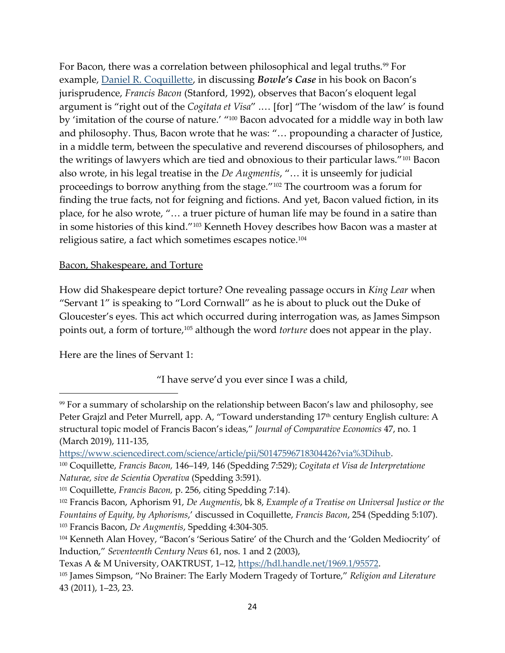For Bacon, there was a correlation between philosophical and legal truths.<sup>99</sup> For example, [Daniel R. Coquillette,](https://www.bc.edu/bc-web/schools/law/academics-faculty/faculty-directory/daniel-coquillette.html) in discussing *Bowle's Case* in his book on Bacon's jurisprudence, *Francis Bacon* (Stanford, 1992), observes that Bacon's eloquent legal argument is "right out of the *Cogitata et Visa*" .… [for] "The 'wisdom of the law' is found by 'imitation of the course of nature.' "<sup>100</sup> Bacon advocated for a middle way in both law and philosophy. Thus, Bacon wrote that he was: "… propounding a character of Justice, in a middle term, between the speculative and reverend discourses of philosophers, and the writings of lawyers which are tied and obnoxious to their particular laws."<sup>101</sup> Bacon also wrote, in his legal treatise in the *De Augmentis*, "… it is unseemly for judicial proceedings to borrow anything from the stage."<sup>102</sup> The courtroom was a forum for finding the true facts, not for feigning and fictions. And yet, Bacon valued fiction, in its place, for he also wrote, "… a truer picture of human life may be found in a satire than in some histories of this kind."<sup>103</sup> Kenneth Hovey describes how Bacon was a master at religious satire, a fact which sometimes escapes notice.<sup>104</sup>

#### Bacon, Shakespeare, and Torture

How did Shakespeare depict torture? One revealing passage occurs in *King Lear* when "Servant 1" is speaking to "Lord Cornwall" as he is about to pluck out the Duke of Gloucester's eyes. This act which occurred during interrogation was, as James Simpson points out, a form of torture,<sup>105</sup> although the word *torture* does not appear in the play.

Here are the lines of Servant 1:

"I have serve'd you ever since I was a child,

<sup>99</sup> For a summary of scholarship on the relationship between Bacon's law and philosophy, see Peter Grajzl and Peter Murrell, app. A, "Toward understanding 17<sup>th</sup> century English culture: A structural topic model of Francis Bacon's ideas," *Journal of Comparative Economics* 47, no. 1 (March 2019), 111-135,

[https://www.sciencedirect.com/science/article/pii/S0147596718304426?via%3Dihub.](https://www.sciencedirect.com/science/article/pii/S0147596718304426?via%3Dihub)

<sup>&</sup>lt;sup>100</sup> Coquillette, *Francis Bacon*, 146-149, 146 (Spedding 7:529); *Cogitata et Visa de Interpretatione Naturae, sive de Scientia Operativa* (Spedding 3:591).

<sup>101</sup> Coquillette, *Francis Bacon,* p. 256, citing Spedding 7:14).

<sup>102</sup> Francis Bacon, Aphorism 91, *De Augmentis*, bk 8, *Example of a Treatise on Universal Justice or the Fountains of Equity, by Aphorisms*,' discussed in Coquillette, *Francis Bacon*, 254 (Spedding 5:107). <sup>103</sup> Francis Bacon, *De Augmentis*, Spedding 4:304-305.

<sup>104</sup> Kenneth Alan Hovey, "Bacon's 'Serious Satire' of the Church and the 'Golden Mediocrity' of Induction," *Seventeenth Century News* 61, nos. 1 and 2 (2003),

Texas A & M University, OAKTRUST, 1-12, [https://hdl.handle.net/1969.1/95572.](https://hdl.handle.net/1969.1/95572)

<sup>105</sup> James Simpson, "No Brainer: The Early Modern Tragedy of Torture," *Religion and Literature* 43 (2011), 1‒23, 23.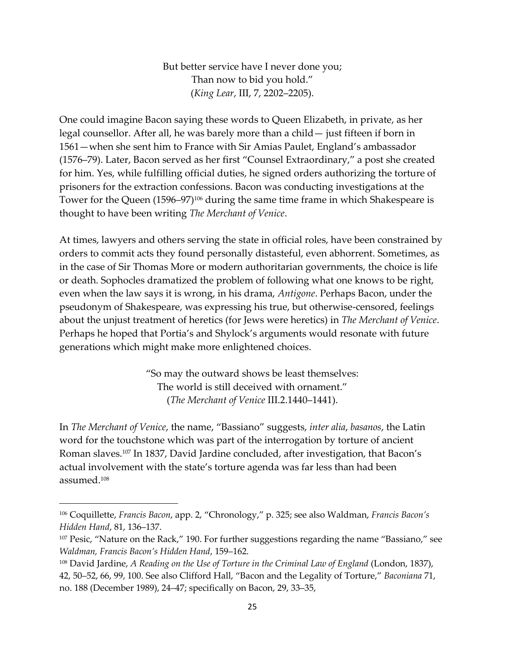But better service have I never done you; Than now to bid you hold." (*King Lear*, III, 7, 2202‒2205).

One could imagine Bacon saying these words to Queen Elizabeth, in private, as her legal counsellor. After all, he was barely more than a child— just fifteen if born in 1561—when she sent him to France with Sir Amias Paulet, England's ambassador (1576‒79). Later, Bacon served as her first "Counsel Extraordinary," a post she created for him. Yes, while fulfilling official duties, he signed orders authorizing the torture of prisoners for the extraction confessions. Bacon was conducting investigations at the Tower for the Queen (1596–97)<sup>106</sup> during the same time frame in which Shakespeare is thought to have been writing *The Merchant of Venice*.

At times, lawyers and others serving the state in official roles, have been constrained by orders to commit acts they found personally distasteful, even abhorrent. Sometimes, as in the case of Sir Thomas More or modern authoritarian governments, the choice is life or death. Sophocles dramatized the problem of following what one knows to be right, even when the law says it is wrong, in his drama, *Antigone*. Perhaps Bacon, under the pseudonym of Shakespeare, was expressing his true, but otherwise-censored, feelings about the unjust treatment of heretics (for Jews were heretics) in *The Merchant of Venice*. Perhaps he hoped that Portia's and Shylock's arguments would resonate with future generations which might make more enlightened choices.

> "So may the outward shows be least themselves: The world is still deceived with ornament." (*The Merchant of Venice III.2.1440–1441*).

In *The Merchant of Venice*, the name, "Bassiano" suggests, *inter alia*, *basanos*, the Latin word for the touchstone which was part of the interrogation by torture of ancient Roman slaves.<sup>107</sup> In 1837, David Jardine concluded, after investigation, that Bacon's actual involvement with the state's torture agenda was far less than had been assumed.<sup>108</sup>

<sup>106</sup> Coquillette, *Francis Bacon*, app. 2, "Chronology," p. 325; see also Waldman, *Francis Bacon's Hidden Hand*, 81, 136‒137.

<sup>&</sup>lt;sup>107</sup> Pesic, "Nature on the Rack," 190. For further suggestions regarding the name "Bassiano," see *Waldman, Francis Bacon's Hidden Hand, 159-162.* 

<sup>&</sup>lt;sup>108</sup> David Jardine, *A Reading on the Use of Torture in the Criminal Law of England (London, 1837)*,

<sup>42, 50‒52, 66, 99, 100.</sup> See also Clifford Hall, "Bacon and the Legality of Torture," *Baconiana* 71, no. 188 (December 1989), 24‒47; specifically on Bacon, 29, 33‒35,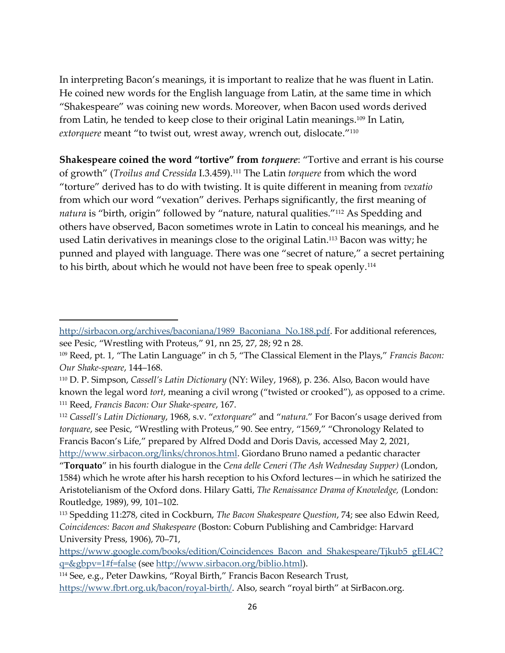In interpreting Bacon's meanings, it is important to realize that he was fluent in Latin. He coined new words for the English language from Latin, at the same time in which "Shakespeare" was coining new words. Moreover, when Bacon used words derived from Latin, he tended to keep close to their original Latin meanings. <sup>109</sup> In Latin, *extorquere* meant "to twist out, wrest away, wrench out, dislocate." 110

**Shakespeare coined the word "tortive" from** *torquere*: "Tortive and errant is his course of growth" (*Troilus and Cressida* I.3.459).<sup>111</sup> The Latin *torquere* from which the word "torture" derived has to do with twisting. It is quite different in meaning from *vexatio* from which our word "vexation" derives. Perhaps significantly, the first meaning of *natura* is "birth, origin" followed by "nature, natural qualities."<sup>112</sup> As Spedding and others have observed, Bacon sometimes wrote in Latin to conceal his meanings, and he used Latin derivatives in meanings close to the original Latin. <sup>113</sup> Bacon was witty; he punned and played with language. There was one "secret of nature," a secret pertaining to his birth, about which he would not have been free to speak openly.<sup>114</sup>

<sup>112</sup> *Cassell's Latin Dictionary*, 1968, s.v. "*extorquare*" and "*natura*." For Bacon's usage derived from *torquare*, see Pesic, "Wrestling with Proteus," 90. See entry, "1569," "Chronology Related to Francis Bacon's Life," prepared by Alfred Dodd and Doris Davis, accessed May 2, 2021,

[http://www.sirbacon.org/links/chronos.html.](http://www.sirbacon.org/links/chronos.html) Giordano Bruno named a pedantic character "**Torquato**" in his fourth dialogue in the *Cena delle Ceneri (The Ash Wednesday Supper)* (London, 1584) which he wrote after his harsh reception to his Oxford lectures—in which he satirized the Aristotelianism of the Oxford dons. Hilary Gatti, *The Renaissance Drama of Knowledge,* (London: Routledge, 1989), 99, 101-102.

[https://www.google.com/books/edition/Coincidences\\_Bacon\\_and\\_Shakespeare/Tjkub5\\_gEL4C?](https://www.google.com/books/edition/Coincidences_Bacon_and_Shakespeare/Tjkub5_gEL4C?q=&gbpv=1#f=false) [q=&gbpv=1#f=false](https://www.google.com/books/edition/Coincidences_Bacon_and_Shakespeare/Tjkub5_gEL4C?q=&gbpv=1#f=false) (see [http://www.sirbacon.org/biblio.html\)](http://www.sirbacon.org/biblio.html).

[http://sirbacon.org/archives/baconiana/1989\\_Baconiana\\_No.188.pdf.](http://sirbacon.org/archives/baconiana/1989_Baconiana_No.188.pdf) For additional references, see Pesic, "Wrestling with Proteus," 91, nn 25, 27, 28; 92 n 28.

<sup>109</sup> Reed, pt. 1, "The Latin Language" in ch 5, "The Classical Element in the Plays," *Francis Bacon:*  Our Shake-speare, 144-168.

<sup>110</sup> D. P. Simpson, *Cassell's Latin Dictionary* (NY: Wiley, 1968), p. 236. Also, Bacon would have known the legal word *tort*, meaning a civil wrong ("twisted or crooked"), as opposed to a crime. <sup>111</sup> Reed, *Francis Bacon: Our Shake-speare*, 167.

<sup>113</sup> Spedding 11:278, cited in Cockburn, *The Bacon Shakespeare Question*, 74; see also Edwin Reed, *Coincidences: Bacon and Shakespeare* (Boston: Coburn Publishing and Cambridge: Harvard University Press, 1906), 70‒71,

<sup>114</sup> See, e.g., Peter Dawkins, "Royal Birth," Francis Bacon Research Trust, <https://www.fbrt.org.uk/bacon/royal-birth/>. Also, search "royal birth" at SirBacon.org.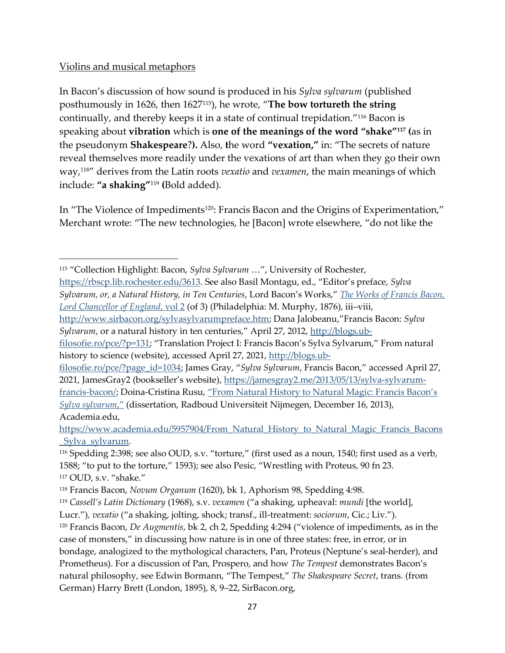# Violins and musical metaphors

In Bacon's discussion of how sound is produced in his *Sylva sylvarum* (published posthumously in 1626, then 1627115), he wrote, "**The bow tortureth the string** continually, and thereby keeps it in a state of continual trepidation." <sup>116</sup> Bacon is speaking about **vibration** which is **one of the meanings of the word "shake"<sup>117</sup> (**as in the pseudonym **Shakespeare**?**).** Also, **t**he word **"vexation,"** in: "The secrets of nature reveal themselves more readily under the vexations of art than when they go their own way,118" derives from the Latin roots *vexatio* and *vexamen*, the main meanings of which include: **"a shaking"**<sup>119</sup> **(**Bold added).

In "The Violence of Impediments<sup>120</sup>: Francis Bacon and the Origins of Experimentation," Merchant wrote: "The new technologies, he [Bacon] wrote elsewhere, "do not like the

<https://rbscp.lib.rochester.edu/3613>. See also Basil Montagu, ed., "Editor's preface, *Sylva Sylvarum, or, a Natural History, in Ten Centuries*, Lord Bacon's Works," *[The Works of Francis Bacon,](https://books.google.com/books?id=H0mvX43BpucC&pg=PA1&lpg=PA1&dq=In+the+spring+of+1626,+Lord+Bacon+died.+In+the+same+year,+Dr.+Rawley,+%22+his+lordship%27s+first+and+last+chaplain,%22+as+he+always+proudly+entitles+himself,+collected+and+published+the+different+poems+which+were+written+to+the+memory+of+his+honoured+master.&source=bl&ots=ahB6ucxFLw&sig=ACfU3U0L4T34mOcfJoK4eKNX-25rE97XRw&hl=en&sa=X&ved=2ahUKEwjBx8mB6J7wAhVnk-AKHSzRDyYQ6AEwAXoECAEQAw#v=onepage&q=In%20the%20spring%20of%201626%2C%20Lord%20Bacon%20died.%20In%20the%20same%20year%2C%20Dr.%20Rawley%2C%20%22%20his%20lordship)  [Lord Chancellor of England](https://books.google.com/books?id=H0mvX43BpucC&pg=PA1&lpg=PA1&dq=In+the+spring+of+1626,+Lord+Bacon+died.+In+the+same+year,+Dr.+Rawley,+%22+his+lordship%27s+first+and+last+chaplain,%22+as+he+always+proudly+entitles+himself,+collected+and+published+the+different+poems+which+were+written+to+the+memory+of+his+honoured+master.&source=bl&ots=ahB6ucxFLw&sig=ACfU3U0L4T34mOcfJoK4eKNX-25rE97XRw&hl=en&sa=X&ved=2ahUKEwjBx8mB6J7wAhVnk-AKHSzRDyYQ6AEwAXoECAEQAw#v=onepage&q=In%20the%20spring%20of%201626%2C%20Lord%20Bacon%20died.%20In%20the%20same%20year%2C%20Dr.%20Rawley%2C%20%22%20his%20lordship), vol 2* (of 3) (Philadelphia: M. Murphy, 1876), iii-viii,

<sup>115</sup> "Collection Highlight: Bacon, *Sylva Sylvarum* …", University of Rochester,

<http://www.sirbacon.org/sylvasylvarumpreface.htm>; Dana Jalobeanu,"Francis Bacon: *Sylva Sylvarum*, or a natural history in ten centuries," April 27, 2012, [http://blogs.ub-](http://blogs.ub-filosofie.ro/pce/?p=131)

[filosofie.ro/pce/?p=131](http://blogs.ub-filosofie.ro/pce/?p=131); "Translation Project I: Francis Bacon's Sylva Sylvarum," From natural history to science (website), accessed April 27, 2021, [http://blogs.ub-](http://blogs.ub-filosofie.ro/pce/?page_id=1034)

[filosofie.ro/pce/?page\\_id=1034](http://blogs.ub-filosofie.ro/pce/?page_id=1034); James Gray, "*Sylva Sylvarum*, Francis Bacon," accessed April 27, 2021, JamesGray2 (bookseller's website), [https://jamesgray2.me/2013/05/13/sylva-sylvarum](https://jamesgray2.me/2013/05/13/sylva-sylvarum-francis-bacon/)[francis-bacon/;](https://jamesgray2.me/2013/05/13/sylva-sylvarum-francis-bacon/) Doina-Cristina Rusu, ["From Natural History to Natural Magic: Francis Bacon's](https://www.academia.edu/5957904/From_Natural_History_to_Natural_Magic_Francis_Bacons_Sylva_sylvarum)  *[Sylva sylvarum](https://www.academia.edu/5957904/From_Natural_History_to_Natural_Magic_Francis_Bacons_Sylva_sylvarum)*," (dissertation, Radboud Universiteit Nijmegen, December 16, 2013), Academia.edu,

[https://www.academia.edu/5957904/From\\_Natural\\_History\\_to\\_Natural\\_Magic\\_Francis\\_Bacons](https://www.academia.edu/5957904/From_Natural_History_to_Natural_Magic_Francis_Bacons_Sylva_sylvarum) [\\_Sylva\\_sylvarum.](https://www.academia.edu/5957904/From_Natural_History_to_Natural_Magic_Francis_Bacons_Sylva_sylvarum)

<sup>116</sup> Spedding 2:398; see also OUD, s.v. "torture," (first used as a noun, 1540; first used as a verb, 1588; "to put to the torture," 1593); see also Pesic, "Wrestling with Proteus, 90 fn 23. <sup>117</sup> OUD, s.v. "shake."

<sup>118</sup> Francis Bacon, *Novum Organum* (1620), bk 1, Aphorism 98, Spedding 4:98.

<sup>119</sup> *Cassell's Latin Dictionary* (1968), s.v. *vexamen* ("a shaking, upheaval: *mundi* [the world],

Lucr.")*, vexatio* ("a shaking, jolting, shock; transf., ill-treatment: *sociorum*, Cic.; Liv."). <sup>120</sup> Francis Bacon, *De Augmentis*, bk 2, ch 2, Spedding 4:294 ("violence of impediments, as in the case of monsters," in discussing how nature is in one of three states: free, in error, or in bondage, analogized to the mythological characters, Pan, Proteus (Neptune's seal-herder), and Prometheus). For a discussion of Pan, Prospero, and how *The Tempest* demonstrates Bacon's natural philosophy, see Edwin Bormann, "The Tempest," *The Shakespeare Secret*, trans. (from German) Harry Brett (London, 1895), 8, 9‒22, SirBacon.org,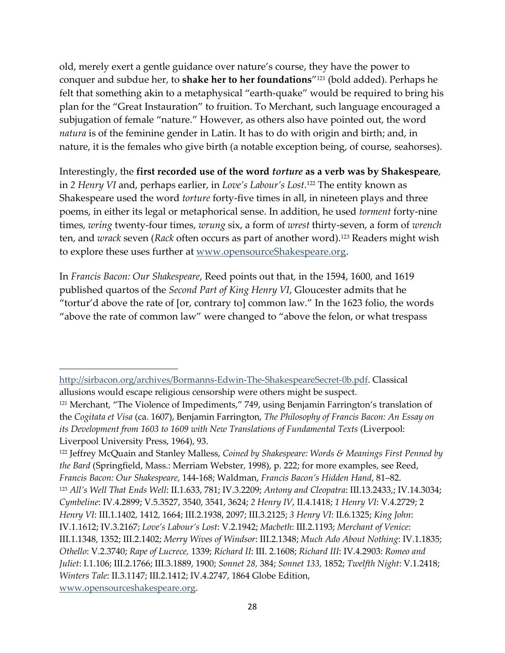old, merely exert a gentle guidance over nature's course, they have the power to conquer and subdue her, to **shake her to her foundations**" <sup>121</sup> (bold added). Perhaps he felt that something akin to a metaphysical "earth-quake" would be required to bring his plan for the "Great Instauration" to fruition. To Merchant, such language encouraged a subjugation of female "nature." However, as others also have pointed out, the word *natura* is of the feminine gender in Latin. It has to do with origin and birth; and, in nature, it is the females who give birth (a notable exception being, of course, seahorses).

Interestingly, the **first recorded use of the word** *torture* **as a verb was by Shakespeare**, in *2 Henry VI* and, perhaps earlier, in *Love's Labour's Lost*. <sup>122</sup> The entity known as Shakespeare used the word *torture* forty-five times in all, in nineteen plays and three poems, in either its legal or metaphorical sense. In addition, he used *torment* forty-nine times, *wring* twenty-four times, *wrung* six, a form of *wrest* thirty-seven, a form of *wrench* ten, and *wrack* seven (*Rack* often occurs as part of another word).<sup>123</sup> Readers might wish to explore these uses further at [www.opensourceShakespeare.org.](http://www.opensourceshakespeare.org/)

In *Francis Bacon: Our Shakespeare*, Reed points out that, in the 1594, 1600, and 1619 published quartos of the *Second Part of King Henry VI*, Gloucester admits that he "tortur'd above the rate of [or, contrary to] common law." In the 1623 folio, the words "above the rate of common law" were changed to "above the felon, or what trespass

<sup>122</sup> Jeffrey McQuain and Stanley Malless, *Coined by Shakespeare: Words & Meanings First Penned by the Bard* (Springfield, Mass.: Merriam Webster, 1998), p. 222; for more examples, see Reed, *Francis Bacon: Our Shakespeare*, 144-168; Waldman, *Francis Bacon's Hidden Hand*, 81‒82. <sup>123</sup> *All's Well That Ends Well*: II.1.633, 781; IV.3.2209; *Antony and Cleopatra*: III.13.2433,; IV.14.3034; *Cymbeline*: IV.4.2899; V.5.3527, 3540, 3541, 3624; *2 Henry IV*, II.4.1418; *1 Henry VI*: V.4.2729; 2 *Henry VI*: III.1.1402, 1412, 1664; III.2.1938, 2097; III.3.2125; *3 Henry VI*: II.6.1325; *King John*: IV.1.1612; IV.3.2167; *Love's Labour's Lost*: V.2.1942; *Macbeth*: III.2.1193; *Merchant of Venice*: III.1.1348, 1352; III.2.1402; *Merry Wives of Windsor*: III.2.1348; *Much Ado About Nothing*: IV.1.1835; *Othello*: V.2.3740; *Rape of Lucrece,* 1339; *Richard II*: III. 2.1608; *Richard III*: IV.4.2903: *Romeo and Juliet*: I.1.106; III.2.1766; III.3.1889, 1900; *Sonnet 28,* 384; *Sonnet 133,* 1852; *Twelfth Night*: V.1.2418; *Winters Tale*: II.3.1147; III.2.1412; IV.4.2747, 1864 Globe Edition, [www.opensourceshakespeare.org.](http://www.opensourceshakespeare.org/)

[http://sirbacon.org/archives/Bormanns-Edwin-The-ShakespeareSecret-0b.pdf.](http://sirbacon.org/archives/Bormanns-Edwin-The-ShakespeareSecret-0b.pdf) Classical allusions would escape religious censorship were others might be suspect.

<sup>&</sup>lt;sup>121</sup> Merchant, "The Violence of Impediments," 749, using Benjamin Farrington's translation of the *Cogitata et Visa* (ca. 1607), Benjamin Farrington, *The Philosophy of Francis Bacon: An Essay on its Development from 1603 to 1609 with New Translations of Fundamental Texts (Liverpool:* Liverpool University Press, 1964), 93.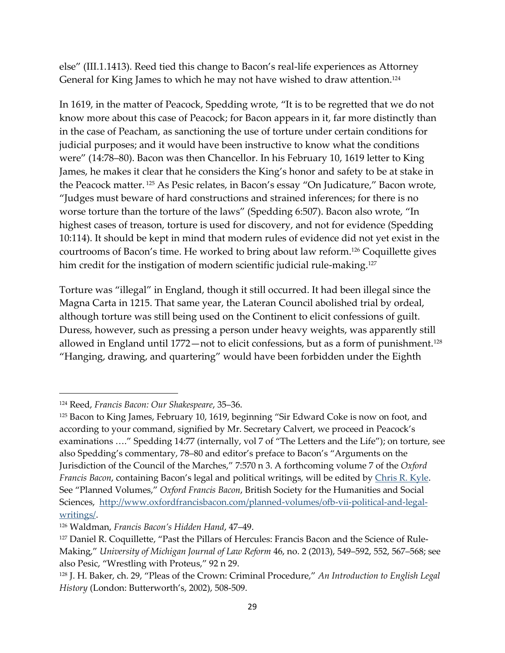else" (III.1.1413). Reed tied this change to Bacon's real-life experiences as Attorney General for King James to which he may not have wished to draw attention.<sup>124</sup>

In 1619, in the matter of Peacock, Spedding wrote, "It is to be regretted that we do not know more about this case of Peacock; for Bacon appears in it, far more distinctly than in the case of Peacham, as sanctioning the use of torture under certain conditions for judicial purposes; and it would have been instructive to know what the conditions were" (14:78–80). Bacon was then Chancellor. In his February 10, 1619 letter to King James, he makes it clear that he considers the King's honor and safety to be at stake in the Peacock matter. <sup>125</sup> As Pesic relates, in Bacon's essay "On Judicature," Bacon wrote, "Judges must beware of hard constructions and strained inferences; for there is no worse torture than the torture of the laws" (Spedding 6:507). Bacon also wrote, "In highest cases of treason, torture is used for discovery, and not for evidence (Spedding 10:114). It should be kept in mind that modern rules of evidence did not yet exist in the courtrooms of Bacon's time. He worked to bring about law reform.<sup>126</sup> Coquillette gives him credit for the instigation of modern scientific judicial rule-making.<sup>127</sup>

Torture was "illegal" in England, though it still occurred. It had been illegal since the Magna Carta in 1215. That same year, the Lateran Council abolished trial by ordeal, although torture was still being used on the Continent to elicit confessions of guilt. Duress, however, such as pressing a person under heavy weights, was apparently still allowed in England until 1772—not to elicit confessions, but as a form of punishment.<sup>128</sup> "Hanging, drawing, and quartering" would have been forbidden under the Eighth

<sup>124</sup> Reed, Francis Bacon: Our Shakespeare, 35-36.

<sup>&</sup>lt;sup>125</sup> Bacon to King James, February 10, 1619, beginning "Sir Edward Coke is now on foot, and according to your command, signified by Mr. Secretary Calvert, we proceed in Peacock's examinations …." Spedding 14:77 (internally, vol 7 of "The Letters and the Life"); on torture, see also Spedding's commentary, 78‒80 and editor's preface to Bacon's "Arguments on the Jurisdiction of the Council of the Marches," 7:570 n 3. A forthcoming volume 7 of the *Oxford Francis Bacon*, containing Bacon's legal and political writings, will be edited by *Chris R. Kyle*. See "Planned Volumes," *Oxford Francis Bacon*, British Society for the Humanities and Social Sciences, [http://www.oxfordfrancisbacon.com/planned-volumes/ofb-vii-political-and-legal](http://www.oxfordfrancisbacon.com/planned-volumes/ofb-vii-political-and-legal-writings/)[writings/.](http://www.oxfordfrancisbacon.com/planned-volumes/ofb-vii-political-and-legal-writings/)

<sup>&</sup>lt;sup>126</sup> Waldman, *Francis Bacon's Hidden Hand*, 47-49.

<sup>&</sup>lt;sup>127</sup> Daniel R. Coquillette, "Past the Pillars of Hercules: Francis Bacon and the Science of Rule-Making," *University of Michigan Journal of Law Reform* 46, no. 2 (2013), 549‒592, 552, 567‒568; see also Pesic, "Wrestling with Proteus," 92 n 29.

<sup>128</sup> J. H. Baker, ch. 29, "Pleas of the Crown: Criminal Procedure," *An Introduction to English Legal History* (London: Butterworth's, 2002), 508-509.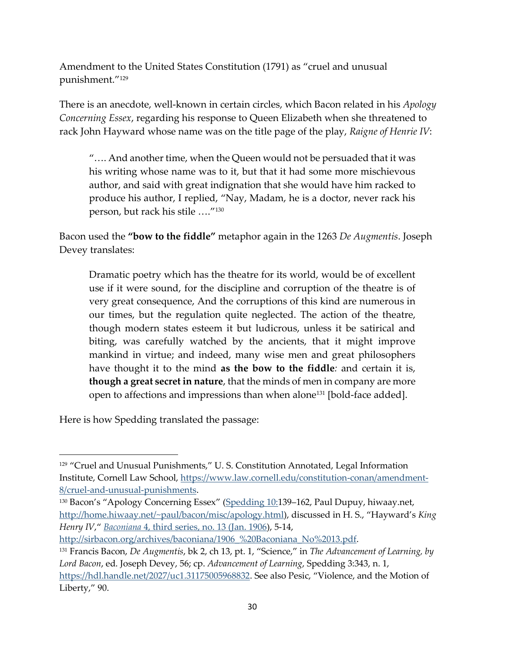Amendment to the United States Constitution (1791) as "cruel and unusual punishment."<sup>129</sup>

There is an anecdote, well-known in certain circles, which Bacon related in his *Apology Concerning Essex*, regarding his response to Queen Elizabeth when she threatened to rack John Hayward whose name was on the title page of the play, *Raigne of Henrie IV*:

"…. And another time, when the Queen would not be persuaded that it was his writing whose name was to it, but that it had some more mischievous author, and said with great indignation that she would have him racked to produce his author, I replied, "Nay, Madam, he is a doctor, never rack his person, but rack his stile …."<sup>130</sup>

Bacon used the **"bow to the fiddle"** metaphor again in the 1263 *De Augmentis*. Joseph Devey translates:

Dramatic poetry which has the theatre for its world, would be of excellent use if it were sound, for the discipline and corruption of the theatre is of very great consequence, And the corruptions of this kind are numerous in our times, but the regulation quite neglected. The action of the theatre, though modern states esteem it but ludicrous, unless it be satirical and biting, was carefully watched by the ancients, that it might improve mankind in virtue; and indeed, many wise men and great philosophers have thought it to the mind **as the bow to the fiddle***:* and certain it is, **though a great secret in nature**, that the minds of men in company are more open to affections and impressions than when alone<sup>131</sup> [bold-face added].

Here is how Spedding translated the passage:

<sup>&</sup>lt;sup>129</sup> "Cruel and Unusual Punishments," U. S. Constitution Annotated, Legal Information Institute, Cornell Law School, [https://www.law.cornell.edu/constitution-conan/amendment-](https://www.law.cornell.edu/constitution-conan/amendment-8/cruel-and-unusual-punishments)[8/cruel-and-unusual-punishments.](https://www.law.cornell.edu/constitution-conan/amendment-8/cruel-and-unusual-punishments)

<sup>&</sup>lt;sup>130</sup> Bacon's "Apology Concerning Essex" ([Spedding 10:](http://home.hiwaay.net/~paul/bacon/misc/apology.html)139–162, Paul Dupuy, hiwaay.net, <http://home.hiwaay.net/~paul/bacon/misc/apology.html>), discussed in H. S., "Hayward's *King Henry IV*," *Baconiana* [4, third series, no. 13](http://sirbacon.org/archives/baconiana/1906_%20Baconiana_No%2013.pdf) (Jan. 1906), 5-14,

http://sirbacon.org/archives/baconiana/1906 %20Baconiana\_No%2013.pdf.

<sup>131</sup> Francis Bacon, *De Augmentis*, bk 2, ch 13, pt. 1, "Science," in *The Advancement of Learning, by Lord Bacon*, ed. Joseph Devey, 56; cp. *Advancement of Learning*, Spedding 3:343, n. 1, <https://hdl.handle.net/2027/uc1.31175005968832>. See also Pesic, "Violence, and the Motion of Liberty," 90.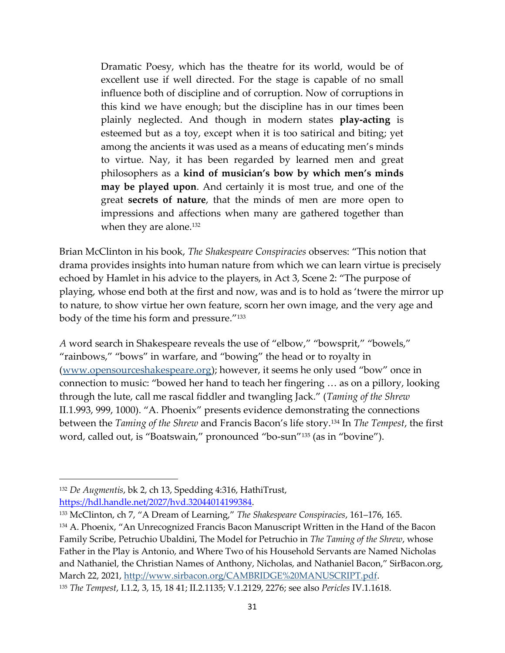Dramatic Poesy, which has the theatre for its world, would be of excellent use if well directed. For the stage is capable of no small influence both of discipline and of corruption. Now of corruptions in this kind we have enough; but the discipline has in our times been plainly neglected. And though in modern states **play-acting** is esteemed but as a toy, except when it is too satirical and biting; yet among the ancients it was used as a means of educating men's minds to virtue. Nay, it has been regarded by learned men and great philosophers as a **kind of musician's bow by which men's minds may be played upon**. And certainly it is most true, and one of the great **secrets of nature**, that the minds of men are more open to impressions and affections when many are gathered together than when they are alone.<sup>132</sup>

Brian McClinton in his book, *The Shakespeare Conspiracies* observes: "This notion that drama provides insights into human nature from which we can learn virtue is precisely echoed by Hamlet in his advice to the players, in Act 3, Scene 2: "The purpose of playing, whose end both at the first and now, was and is to hold as 'twere the mirror up to nature, to show virtue her own feature, scorn her own image, and the very age and body of the time his form and pressure."<sup>133</sup>

*A* word search in Shakespeare reveals the use of "elbow," "bowsprit," "bowels," "rainbows," "bows" in warfare, and "bowing" the head or to royalty in [\(www.opensourceshakespeare.org\)](http://www.opensourceshakespeare.org/); however, it seems he only used "bow" once in connection to music: "bowed her hand to teach her fingering … as on a pillory, looking through the lute, call me rascal fiddler and twangling Jack." (*Taming of the Shrew* II.1.993, 999, 1000). "A. Phoenix" presents evidence demonstrating the connections between the *Taming of the Shrew* and Francis Bacon's life story.<sup>134</sup> In *The Tempest*, the first word, called out, is "Boatswain," pronounced "bo-sun"<sup>135</sup> (as in "bovine").

<sup>132</sup> *De Augmentis*, bk 2, ch 13, Spedding 4:316, HathiTrust, [https://hdl.handle.net/2027/hvd.32044014199384.](https://hdl.handle.net/2027/hvd.32044014199384)

<sup>&</sup>lt;sup>133</sup> McClinton, ch 7, "A Dream of Learning," *The Shakespeare Conspiracies*, 161–176, 165.

<sup>134</sup> A. Phoenix, "An Unrecognized Francis Bacon Manuscript Written in the Hand of the Bacon Family Scribe, Petruchio Ubaldini, The Model for Petruchio in *The Taming of the Shrew*, whose Father in the Play is Antonio, and Where Two of his Household Servants are Named Nicholas and Nathaniel, the Christian Names of Anthony, Nicholas, and Nathaniel Bacon," SirBacon.org, March 22, 2021, [http://www.sirbacon.org/CAMBRIDGE%20MANUSCRIPT.pdf.](http://www.sirbacon.org/CAMBRIDGE%20MANUSCRIPT.pdf)

<sup>135</sup> *The Tempest*, I.1.2, 3, 15, 18 41; II.2.1135; V.1.2129, 2276; see also *Pericles* IV.1.1618.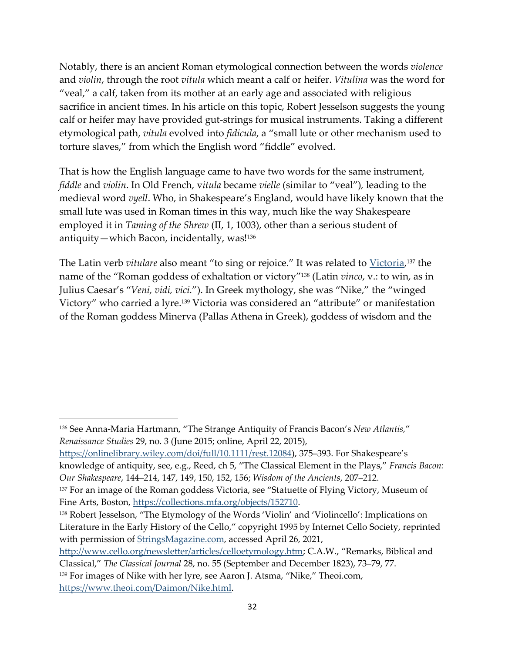Notably, there is an ancient Roman etymological connection between the words *violence* and *violin*, through the root *vitula* which meant a calf or heifer. *Vitulina* was the word for "veal," a calf, taken from its mother at an early age and associated with religious sacrifice in ancient times. In his article on this topic, Robert Jesselson suggests the young calf or heifer may have provided gut-strings for musical instruments. Taking a different etymological path, *vitula* evolved into *fidicula*, a "small lute or other mechanism used to torture slaves," from which the English word "fiddle" evolved.

That is how the English language came to have two words for the same instrument, *fiddle* and *violin*. In Old French, v*itula* became *vielle* (similar to "veal")*,* leading to the medieval word *vyell*. Who, in Shakespeare's England, would have likely known that the small lute was used in Roman times in this way, much like the way Shakespeare employed it in *Taming of the Shrew* (II, 1, 1003), other than a serious student of antiquity—which Bacon, incidentally, was! 136

The Latin verb *vitulare* also meant "to sing or rejoice." It was related to [Victoria,](https://www.britannica.com/topic/Roman-religion/Veneration-of-objects) <sup>137</sup> the name of the "Roman goddess of exhaltation or victory"<sup>138</sup> (Latin *vinco*, v.: to win, as in Julius Caesar's "*Veni, vidi, vici.*"). In Greek mythology, she was "Nike," the "winged Victory" who carried a lyre.<sup>139</sup> Victoria was considered an "attribute" or manifestation of the Roman goddess Minerva (Pallas Athena in Greek), goddess of wisdom and the

<sup>136</sup> See Anna-Maria Hartmann, "The Strange Antiquity of Francis Bacon's *New Atlantis,*" *Renaissance Studies* 29, no. 3 (June 2015; online, April 22, 2015),

[https://onlinelibrary.wiley.com/doi/full/10.1111/rest.12084\)](https://onlinelibrary.wiley.com/doi/full/10.1111/rest.12084), 375-393. For Shakespeare's knowledge of antiquity, see, e.g., Reed, ch 5, "The Classical Element in the Plays," *Francis Bacon: Our Shakespeare*, 144‒214, 147, 149, 150, 152, 156; *Wisdom of the Ancients*, 207‒212.

<sup>&</sup>lt;sup>137</sup> For an image of the Roman goddess Victoria, see "Statuette of Flying Victory, Museum of Fine Arts, Boston, [https://collections.mfa.org/objects/152710.](https://collections.mfa.org/objects/152710)

<sup>138</sup> Robert Jesselson, "The Etymology of the Words 'Violin' and 'Violincello': Implications on Literature in the Early History of the Cello," copyright 1995 by Internet Cello Society, reprinted with permission of [StringsMagazine.com,](https://stringsmagazine.com/) accessed April 26, 2021,

<http://www.cello.org/newsletter/articles/celloetymology.htm>; C.A.W., "Remarks, Biblical and

Classical," *The Classical Journal* 28, no. 55 (September and December 1823), 73‒79, 77.

<sup>139</sup> For images of Nike with her lyre, see Aaron J. Atsma, "Nike," Theoi.com, [https://www.theoi.com/Daimon/Nike.html.](https://www.theoi.com/Daimon/Nike.html)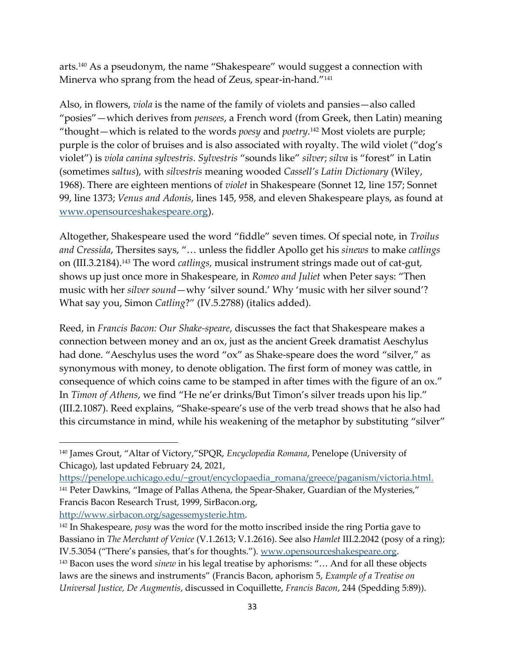arts.<sup>140</sup> As a pseudonym, the name "Shakespeare" would suggest a connection with Minerva who sprang from the head of Zeus, spear-in-hand."<sup>141</sup>

Also, in flowers, *viola* is the name of the family of violets and pansies—also called "posies"—which derives from *pensees*, a French word (from Greek, then Latin) meaning "thought—which is related to the words *poesy* and *poetry*. <sup>142</sup> Most violets are purple; purple is the color of bruises and is also associated with royalty. The wild violet ("dog's violet") is *viola canina sylvestris*. *Sylvestris* "sounds like" *silver*; *silva* is "forest" in Latin (sometimes *saltus*), with *silvestris* meaning wooded *Cassell's Latin Dictionary* (Wiley, 1968). There are eighteen mentions of *violet* in Shakespeare (Sonnet 12, line 157; Sonnet 99, line 1373; *Venus and Adonis*, lines 145, 958, and eleven Shakespeare plays, as found at [www.opensourceshakespeare.org\)](http://www.opensourceshakespeare.org/).

Altogether, Shakespeare used the word "fiddle" seven times. Of special note, in *Troilus and Cressida*, Thersites says, "… unless the fiddler Apollo get his *sinews* to make *catlings* on (III.3.2184).<sup>143</sup> The word *catlings*, musical instrument strings made out of cat-gut, shows up just once more in Shakespeare, in *Romeo and Juliet* when Peter says: "Then music with her *silver sound*—why 'silver sound.' Why 'music with her silver sound'? What say you, Simon *Catling*?" (IV.5.2788) (italics added).

Reed, in *Francis Bacon: Our Shake-speare*, discusses the fact that Shakespeare makes a connection between money and an ox, just as the ancient Greek dramatist Aeschylus had done. "Aeschylus uses the word "ox" as Shake-speare does the word "silver," as synonymous with money, to denote obligation. The first form of money was cattle, in consequence of which coins came to be stamped in after times with the figure of an ox." In *Timon of Athens*, we find "He ne'er drinks/But Timon's silver treads upon his lip." (III.2.1087). Reed explains, "Shake-speare's use of the verb tread shows that he also had this circumstance in mind, while his weakening of the metaphor by substituting "silver"

[http://www.sirbacon.org/sagessemysterie.htm.](http://www.sirbacon.org/sagessemysterie.htm)

<sup>140</sup> James Grout, "Altar of Victory,"SPQR, *Encyclopedia Romana*, Penelope (University of Chicago), last updated February 24, 2021,

[https://penelope.uchicago.edu/~grout/encyclopaedia\\_romana/greece/paganism/victoria.html.](https://penelope.uchicago.edu/~grout/encyclopaedia_romana/greece/paganism/victoria.html) <sup>141</sup> Peter Dawkins, "Image of Pallas Athena, the Spear-Shaker, Guardian of the Mysteries," Francis Bacon Research Trust, 1999, SirBacon.org,

<sup>142</sup> In Shakespeare, *posy* was the word for the motto inscribed inside the ring Portia gave to Bassiano in *The Merchant of Venice* (V.1.2613; V.1.2616). See also *Hamlet* III.2.2042 (posy of a ring); IV.5.3054 ("There's pansies, that's for thoughts."). [www.opensourceshakespeare.org.](http://www.opensourceshakespeare.org/)

<sup>143</sup> Bacon uses the word *sinew* in his legal treatise by aphorisms: "… And for all these objects laws are the sinews and instruments" (Francis Bacon, aphorism 5, *Example of a Treatise on Universal Justice, De Augmentis*, discussed in Coquillette, *Francis Bacon*, 244 (Spedding 5:89)).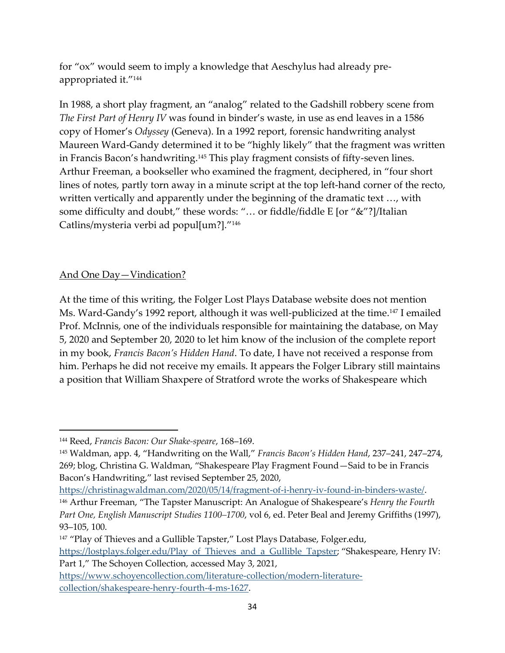for "ox" would seem to imply a knowledge that Aeschylus had already preappropriated it."<sup>144</sup>

In 1988, a short play fragment, an "analog" related to the Gadshill robbery scene from *The First Part of Henry IV* was found in binder's waste, in use as end leaves in a 1586 copy of Homer's *Odyssey* (Geneva). In a 1992 report, forensic handwriting analyst Maureen Ward-Gandy determined it to be "highly likely" that the fragment was written in Francis Bacon's handwriting.<sup>145</sup> This play fragment consists of fifty-seven lines. Arthur Freeman, a bookseller who examined the fragment, deciphered, in "four short lines of notes, partly torn away in a minute script at the top left-hand corner of the recto, written vertically and apparently under the beginning of the dramatic text …, with some difficulty and doubt," these words: "… or fiddle/fiddle E [or "&"?]/Italian Catlins/mysteria verbi ad popul[um?]."<sup>146</sup>

# And One Day—Vindication?

At the time of this writing, the Folger Lost Plays Database website does not mention Ms. Ward-Gandy's 1992 report, although it was well-publicized at the time.<sup>147</sup> I emailed Prof. McInnis, one of the individuals responsible for maintaining the database, on May 5, 2020 and September 20, 2020 to let him know of the inclusion of the complete report in my book, *Francis Bacon's Hidden Hand*. To date, I have not received a response from him. Perhaps he did not receive my emails. It appears the Folger Library still maintains a position that William Shaxpere of Stratford wrote the works of Shakespeare which

<sup>&</sup>lt;sup>144</sup> Reed, *Francis Bacon: Our Shake-speare*, 168-169.

<sup>&</sup>lt;sup>145</sup> Waldman, app. 4, "Handwriting on the Wall," *Francis Bacon's Hidden Hand*, 237–241, 247–274, 269; blog, Christina G. Waldman, "Shakespeare Play Fragment Found—Said to be in Francis Bacon's Handwriting," last revised September 25, 2020,

[https://christinagwaldman.com/2020/05/14/fragment-of-i-henry-iv-found-in-binders-waste/.](https://christinagwaldman.com/2020/05/14/fragment-of-i-henry-iv-found-in-binders-waste/)

<sup>146</sup> Arthur Freeman, "The Tapster Manuscript: An Analogue of Shakespeare's *Henry the Fourth Part One, English Manuscript Studies 1100‒1700*, vol 6, ed. Peter Beal and Jeremy Griffiths (1997), 93‒105, 100.

<sup>&</sup>lt;sup>147</sup> "Play of Thieves and a Gullible Tapster," Lost Plays Database, Folger.edu, [https://lostplays.folger.edu/Play\\_of\\_Thieves\\_and\\_a\\_Gullible\\_Tapster](https://lostplays.folger.edu/Play_of_Thieves_and_a_Gullible_Tapster); "Shakespeare, Henry IV: Part 1," The Schoyen Collection, accessed May 3, 2021,

[https://www.schoyencollection.com/literature-collection/modern-literature](https://www.schoyencollection.com/literature-collection/modern-literature-collection/shakespeare-henry-fourth-4-ms-1627)[collection/shakespeare-henry-fourth-4-ms-1627.](https://www.schoyencollection.com/literature-collection/modern-literature-collection/shakespeare-henry-fourth-4-ms-1627)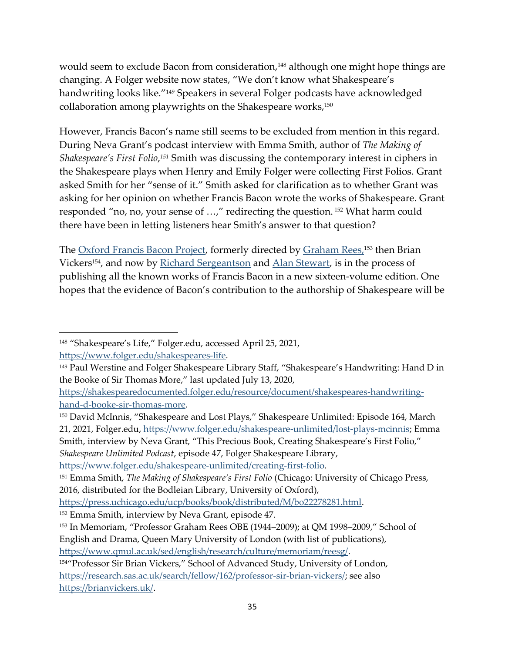would seem to exclude Bacon from consideration, <sup>148</sup> although one might hope things are changing. A Folger website now states, "We don't know what Shakespeare's handwriting looks like."<sup>149</sup> Speakers in several Folger podcasts have acknowledged collaboration among playwrights on the Shakespeare works, $150$ 

However, Francis Bacon's name still seems to be excluded from mention in this regard. During Neva Grant's podcast interview with Emma Smith, author of *The Making of Shakespeare's First Folio*, *<sup>151</sup>* Smith was discussing the contemporary interest in ciphers in the Shakespeare plays when Henry and Emily Folger were collecting First Folios. Grant asked Smith for her "sense of it." Smith asked for clarification as to whether Grant was asking for her opinion on whether Francis Bacon wrote the works of Shakespeare. Grant responded "no, no, your sense of …," redirecting the question. <sup>152</sup> What harm could there have been in letting listeners hear Smith's answer to that question?

The <u>Oxford Francis Bacon Project</u>, formerly directed by <u>Graham Rees, 153</u> then Brian Vickers<sup>154</sup>, and now by [Richard Sergeantson](https://www.hist.cam.ac.uk/people/dr-richard-serjeantson) and [Alan Stewart,](https://english.columbia.edu/content/alan-stewart) is in the process of publishing all the known works of Francis Bacon in a new sixteen-volume edition. One hopes that the evidence of Bacon's contribution to the authorship of Shakespeare will be

<sup>150</sup> David McInnis, "Shakespeare and Lost Plays," Shakespeare Unlimited: Episode 164, March 21, 2021, Folger.edu, [https://www.folger.edu/shakespeare-unlimited/lost-plays-mcinnis;](https://www.folger.edu/shakespeare-unlimited/lost-plays-mcinnis) Emma Smith, interview by Neva Grant, "This Precious Book, Creating Shakespeare's First Folio," *Shakespeare Unlimited Podcast*, episode 47, Folger Shakespeare Library,

[https://www.folger.edu/shakespeare-unlimited/creating-first-folio.](https://www.folger.edu/shakespeare-unlimited/creating-first-folio)

<sup>148</sup> "Shakespeare's Life," Folger.edu, accessed April 25, 2021,

[https://www.folger.edu/shakespeares-life.](https://www.folger.edu/shakespeares-life)

<sup>&</sup>lt;sup>149</sup> Paul Werstine and Folger Shakespeare Library Staff, "Shakespeare's Handwriting: Hand D in the Booke of Sir Thomas More," last updated July 13, 2020,

[https://shakespearedocumented.folger.edu/resource/document/shakespeares-handwriting](https://shakespearedocumented.folger.edu/resource/document/shakespeares-handwriting-hand-d-booke-sir-thomas-more)[hand-d-booke-sir-thomas-more.](https://shakespearedocumented.folger.edu/resource/document/shakespeares-handwriting-hand-d-booke-sir-thomas-more)

<sup>151</sup> Emma Smith, *The Making of Shakespeare's First Folio* (Chicago: University of Chicago Press, 2016, distributed for the Bodleian Library, University of Oxford),

[https://press.uchicago.edu/ucp/books/book/distributed/M/bo22278281.html.](https://press.uchicago.edu/ucp/books/book/distributed/M/bo22278281.html)

<sup>152</sup> Emma Smith, interview by Neva Grant, episode 47.

<sup>&</sup>lt;sup>153</sup> In Memoriam, "Professor Graham Rees OBE (1944–2009); at QM 1998–2009," School of English and Drama, Queen Mary University of London (with list of publications),

[https://www.qmul.ac.uk/sed/english/research/culture/memoriam/reesg/.](https://www.qmul.ac.uk/sed/english/research/culture/memoriam/reesg/)

<sup>154</sup>"Professor Sir Brian Vickers," School of Advanced Study, University of London, [https://research.sas.ac.uk/search/fellow/162/professor-sir-brian-vickers/;](https://research.sas.ac.uk/search/fellow/162/professor-sir-brian-vickers/) see also [https://brianvickers.uk/.](https://brianvickers.uk/)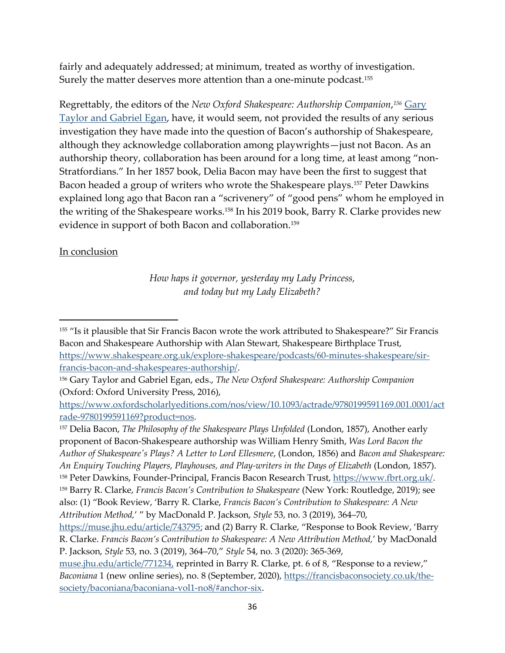fairly and adequately addressed; at minimum, treated as worthy of investigation. Surely the matter deserves more attention than a one-minute podcast. $^{155}$ 

Regrettably, the editors of the *New Oxford Shakespeare: Authorship Companion*, *<sup>156</sup>* [Gary](https://academic.oup.com/dsh/article-abstract/34/3/703/5536575?redirectedFrom=fulltext)  [Taylor and Gabriel Egan,](https://academic.oup.com/dsh/article-abstract/34/3/703/5536575?redirectedFrom=fulltext) have, it would seem, not provided the results of any serious investigation they have made into the question of Bacon's authorship of Shakespeare, although they acknowledge collaboration among playwrights—just not Bacon. As an authorship theory, collaboration has been around for a long time, at least among "non-Stratfordians." In her 1857 book, Delia Bacon may have been the first to suggest that Bacon headed a group of writers who wrote the Shakespeare plays.<sup>157</sup> Peter Dawkins explained long ago that Bacon ran a "scrivenery" of "good pens" whom he employed in the writing of the Shakespeare works.<sup>158</sup> In his 2019 book, Barry R. Clarke provides new evidence in support of both Bacon and collaboration.<sup>159</sup>

# In conclusion

*How haps it governor, yesterday my Lady Princess, and today but my Lady Elizabeth?*

<sup>155</sup> "Is it plausible that Sir Francis Bacon wrote the work attributed to Shakespeare?" Sir Francis Bacon and Shakespeare Authorship with Alan Stewart, Shakespeare Birthplace Trust, [https://www.shakespeare.org.uk/explore-shakespeare/podcasts/60-minutes-shakespeare/sir](https://www.shakespeare.org.uk/explore-shakespeare/podcasts/60-minutes-shakespeare/sir-francis-bacon-and-shakespeares-authorship/)[francis-bacon-and-shakespeares-authorship/.](https://www.shakespeare.org.uk/explore-shakespeare/podcasts/60-minutes-shakespeare/sir-francis-bacon-and-shakespeares-authorship/)

<sup>156</sup> Gary Taylor and Gabriel Egan, eds., *The New Oxford Shakespeare: Authorship Companion* (Oxford: Oxford University Press, 2016),

[https://www.oxfordscholarlyeditions.com/nos/view/10.1093/actrade/9780199591169.001.0001/act](https://www.oxfordscholarlyeditions.com/nos/view/10.1093/actrade/9780199591169.001.0001/actrade-9780199591169?product=nos) [rade-9780199591169?product=nos.](https://www.oxfordscholarlyeditions.com/nos/view/10.1093/actrade/9780199591169.001.0001/actrade-9780199591169?product=nos)

<sup>157</sup> Delia Bacon, *The Philosophy of the Shakespeare Plays Unfolded* (London, 1857), Another early proponent of Bacon-Shakespeare authorship was William Henry Smith, *Was Lord Bacon the Author of Shakespeare's Plays? A Letter to Lord Ellesmere*, (London, 1856) and *Bacon and Shakespeare: An Enquiry Touching Players, Playhouses, and Play-writers in the Days of Elizabeth* (London, 1857). <sup>158</sup> Peter Dawkins, Founder-Principal, Francis Bacon Research Trust, [https://www.fbrt.org.uk/.](https://www.fbrt.org.uk/) <sup>159</sup> Barry R. Clarke, *Francis Bacon's Contribution to Shakespeare* (New York: Routledge, 2019); see also: (1) "Book Review, 'Barry R. Clarke, *Francis Bacon's Contribution to Shakespeare: A New Attribution Method,*' " by MacDonald P. Jackson, *Style* 53, no. 3 (2019), 364–70,

[https://muse.jhu.edu/article/743795;](https://muse.jhu.edu/article/743795) and (2) Barry R. Clarke, "Response to Book Review, 'Barry R. Clarke. *Francis Bacon's Contribution to Shakespeare: A New Attribution Method,*' by MacDonald P. Jackson, *Style* 53, no. 3 (2019), 364–70," *Style* 54, no. 3 (2020): 365-369,

[muse.jhu.edu/article/771234,](https://muse.jhu.edu/article/771234) reprinted in Barry R. Clarke, pt. 6 of 8, "Response to a review," *Baconiana* 1 (new online series), no. 8 (September, 2020), [https://francisbaconsociety.co.uk/the](https://francisbaconsociety.co.uk/the-society/baconiana/baconiana-vol1-no8/#anchor-six)[society/baconiana/baconiana-vol1-no8/#anchor-six.](https://francisbaconsociety.co.uk/the-society/baconiana/baconiana-vol1-no8/#anchor-six)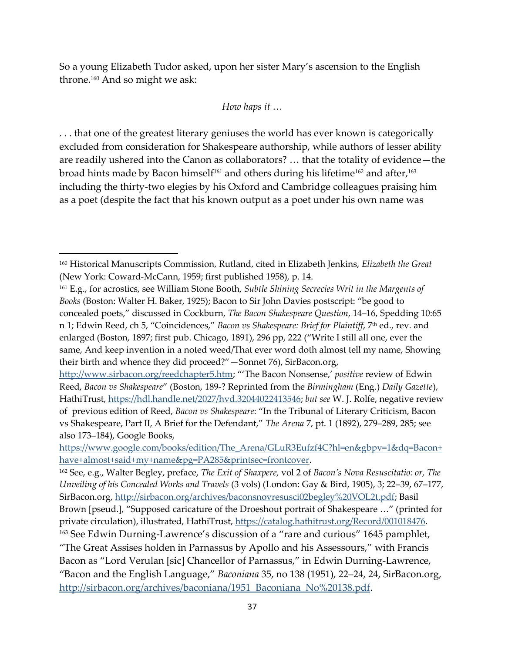So a young Elizabeth Tudor asked, upon her sister Mary's ascension to the English throne.<sup>160</sup> And so might we ask:

## *How haps it …*

. . . that one of the greatest literary geniuses the world has ever known is categorically excluded from consideration for Shakespeare authorship, while authors of lesser ability are readily ushered into the Canon as collaborators? … that the totality of evidence—the broad hints made by Bacon himself $^{161}$  and others during his lifetime $^{162}$  and after, $^{163}$ including the thirty-two elegies by his Oxford and Cambridge colleagues praising him as a poet (despite the fact that his known output as a poet under his own name was

<sup>160</sup> Historical Manuscripts Commission, Rutland, cited in Elizabeth Jenkins, *Elizabeth the Great* (New York: Coward-McCann, 1959; first published 1958), p. 14.

<sup>161</sup> E.g., for acrostics, see William Stone Booth, *Subtle Shining Secrecies Writ in the Margents of Books* (Boston: Walter H. Baker, 1925); Bacon to Sir John Davies postscript: "be good to concealed poets," discussed in Cockburn, *The Bacon Shakespeare Question*, 14‒16, Spedding 10:65 n 1; Edwin Reed, ch 5, "Coincidences," *Bacon vs Shakespeare: Brief for Plaintiff*, 7th ed., rev. and enlarged (Boston, 1897; first pub. Chicago, 1891), 296 pp, 222 ("Write I still all one, ever the same, And keep invention in a noted weed/That ever word doth almost tell my name, Showing their birth and whence they did proceed?"—Sonnet 76), SirBacon.org,

<http://www.sirbacon.org/reedchapter5.htm>; "'The Bacon Nonsense,' *positive* review of Edwin Reed, *Bacon vs Shakespeare*" (Boston, 189-? Reprinted from the *Birmingham* (Eng.) *Daily Gazette*), HathiTrust, [https://hdl.handle.net/2027/hvd.32044022413546;](https://hdl.handle.net/2027/hvd.32044022413546) *but see* W. J. Rolfe, negative review of previous edition of Reed, *Bacon vs Shakespeare*: "In the Tribunal of Literary Criticism, Bacon vs Shakespeare, Part II, A Brief for the Defendant," *The Arena* 7, pt. 1 (1892), 279-289, 285; see also 173‒184), Google Books,

[https://www.google.com/books/edition/The\\_Arena/GLuR3Eufzf4C?hl=en&gbpv=1&dq=Bacon+](https://www.google.com/books/edition/The_Arena/GLuR3Eufzf4C?hl=en&gbpv=1&dq=Bacon+have+almost+said+my+name&pg=PA285&printsec=frontcover) [have+almost+said+my+name&pg=PA285&printsec=frontcover.](https://www.google.com/books/edition/The_Arena/GLuR3Eufzf4C?hl=en&gbpv=1&dq=Bacon+have+almost+said+my+name&pg=PA285&printsec=frontcover)

<sup>162</sup> See, e.g., Walter Begley, preface, *The Exit of Shaxpere,* vol 2 of *Bacon's Nova Resuscitatio: or, The Unveiling of his Concealed Works and Travels* (3 vols) (London: Gay & Bird, 1905), 3; 22–39, 67–177, SirBacon.org, [http://sirbacon.org/archives/baconsnovresusci02begley%20VOL2t.pdf;](http://sirbacon.org/archives/baconsnovresusci02begley%20VOL2t.pdf) Basil Brown [pseud.], "Supposed caricature of the Droeshout portrait of Shakespeare …" (printed for

private circulation), illustrated, HathiTrust, [https://catalog.hathitrust.org/Record/001018476.](https://catalog.hathitrust.org/Record/001018476)

<sup>&</sup>lt;sup>163</sup> See Edwin Durning-Lawrence's discussion of a "rare and curious" 1645 pamphlet, "The Great Assises holden in Parnassus by Apollo and his Assessours," with Francis Bacon as "Lord Verulan [sic] Chancellor of Parnassus," in Edwin Durning-Lawrence, "Bacon and the English Language," *Baconiana* 35, no 138 (1951), 22–24, 24, SirBacon.org, [http://sirbacon.org/archives/baconiana/1951\\_Baconiana\\_No%20138.pdf.](http://sirbacon.org/archives/baconiana/1951_Baconiana_No%20138.pdf)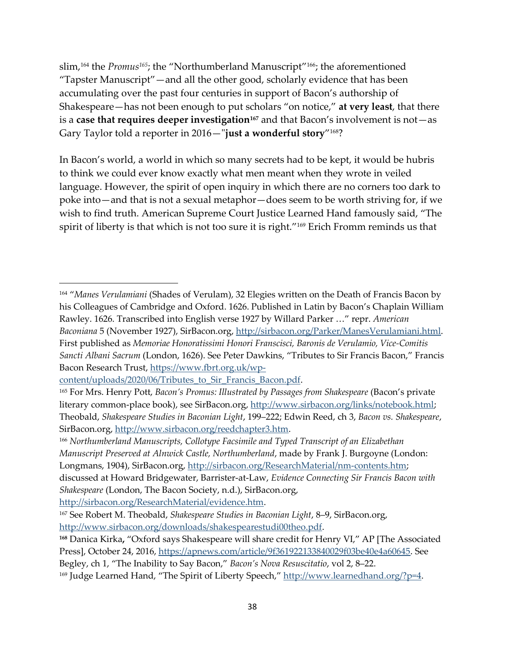slim, <sup>164</sup> the *Promus165*; the "Northumberland Manuscript"166; the aforementioned "Tapster Manuscript"—and all the other good, scholarly evidence that has been accumulating over the past four centuries in support of Bacon's authorship of Shakespeare—has not been enough to put scholars "on notice," **at very least**, that there is a **case that requires deeper investigation<sup>167</sup>** and that Bacon's involvement is not—as Gary Taylor told a reporter in 2016—"**just a wonderful story**" <sup>168</sup>?

In Bacon's world, a world in which so many secrets had to be kept, it would be hubris to think we could ever know exactly what men meant when they wrote in veiled language. However, the spirit of open inquiry in which there are no corners too dark to poke into—and that is not a sexual metaphor—does seem to be worth striving for, if we wish to find truth. American Supreme Court Justice Learned Hand famously said, "The spirit of liberty is that which is not too sure it is right."<sup>169</sup> Erich Fromm reminds us that

<sup>164</sup> "*Manes Verulamiani* (Shades of Verulam), 32 Elegies written on the Death of Francis Bacon by his Colleagues of Cambridge and Oxford. 1626. Published in Latin by Bacon's Chaplain William Rawley. 1626. Transcribed into English verse 1927 by Willard Parker …" repr. *American Baconiana* 5 (November 1927), SirBacon.org, [http://sirbacon.org/Parker/ManesVerulamiani.html.](http://sirbacon.org/Parker/ManesVerulamiani.html) First published as *Memoriae Honoratissimi Honori Franscisci, Baronis de Verulamio, Vice-Comitis Sancti Albani Sacrum* (London, 1626). See Peter Dawkins, "Tributes to Sir Francis Bacon," Francis Bacon Research Trust, [https://www.fbrt.org.uk/wp-](https://www.fbrt.org.uk/wp-content/uploads/2020/06/Tributes_to_Sir_Francis_Bacon.pdf)

content/uploads/2020/06/Tributes to Sir Francis Bacon.pdf.

<sup>165</sup> For Mrs. Henry Pott, *Bacon's Promus: Illustrated by Passages from Shakespeare* (Bacon's private literary common-place book), see SirBacon.org, [http://www.sirbacon.org/links/notebook.html;](http://www.sirbacon.org/links/notebook.html) Theobald, *Shakespeare Studies in Baconian Light*, 199‒222; Edwin Reed, ch 3, *Bacon vs. Shakespeare*, SirBacon.org, [http://www.sirbacon.org/reedchapter3.htm.](http://www.sirbacon.org/reedchapter3.htm)

<sup>166</sup> *Northumberland Manuscripts, Collotype Facsimile and Typed Transcript of an Elizabethan Manuscript Preserved at Alnwick Castle, Northumberland*, made by Frank J. Burgoyne (London: Longmans, 1904), SirBacon.org[, http://sirbacon.org/ResearchMaterial/nm-contents.htm;](http://sirbacon.org/ResearchMaterial/nm-contents.htm)

discussed at Howard Bridgewater, Barrister-at-Law, *Evidence Connecting Sir Francis Bacon with Shakespeare* (London, The Bacon Society, n.d.), SirBacon.org,

[http://sirbacon.org/ResearchMaterial/evidence.htm.](http://sirbacon.org/ResearchMaterial/evidence.htm)

<sup>167</sup> See Robert M. Theobald, *Shakespeare Studies in Baconian Light*, 8‒9, SirBacon.org, [http://www.sirbacon.org/downloads/shakespearestudi00theo.pdf.](http://www.sirbacon.org/downloads/shakespearestudi00theo.pdf)

**<sup>168</sup>** Danica Kirka**,** "Oxford says Shakespeare will share credit for Henry VI," AP [The Associated Press], October 24, 2016, [https://apnews.com/article/9f361922133840029f03be40e4a60645.](https://apnews.com/article/9f361922133840029f03be40e4a60645) See

Begley, ch 1, "The Inability to Say Bacon," *Bacon's Nova Resuscitatio*, vol 2, 8–22.

<sup>&</sup>lt;sup>169</sup> Judge Learned Hand, "The Spirit of Liberty Speech," [http://www.learnedhand.org/?p=4.](http://www.learnedhand.org/?p=4)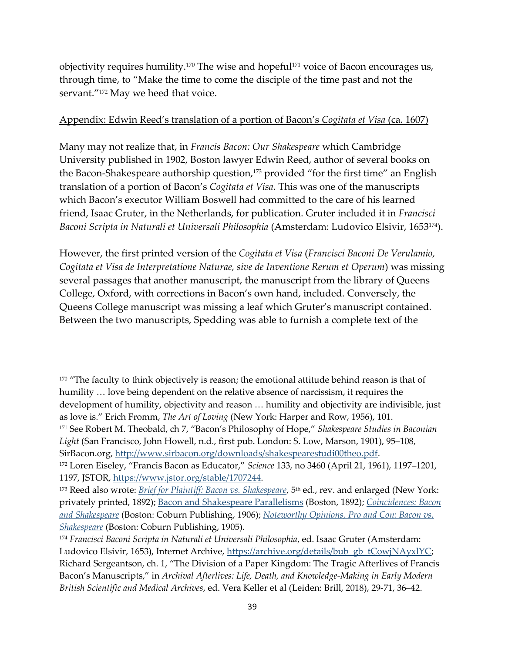objectivity requires humility.<sup>170</sup> The wise and hopeful<sup>171</sup> voice of Bacon encourages us, through time, to "Make the time to come the disciple of the time past and not the servant."<sup>172</sup> May we heed that voice.

# Appendix: Edwin Reed's translation of a portion of Bacon's *Cogitata et Visa* (ca. 1607)

Many may not realize that, in *Francis Bacon: Our Shakespeare* which Cambridge University published in 1902, Boston lawyer Edwin Reed, author of several books on the Bacon-Shakespeare authorship question,<sup>173</sup> provided "for the first time" an English translation of a portion of Bacon's *Cogitata et Visa*. This was one of the manuscripts which Bacon's executor William Boswell had committed to the care of his learned friend, Isaac Gruter, in the Netherlands, for publication. Gruter included it in *Francisci Baconi Scripta in Naturali et Universali Philosophia* (Amsterdam: Ludovico Elsivir, 1653174).

However, the first printed version of the *Cogitata et Visa* (*Francisci Baconi De Verulamio, Cogitata et Visa de Interpretatione Naturae, sive de Inventione Rerum et Operum*) was missing several passages that another manuscript, the manuscript from the library of Queens College, Oxford, with corrections in Bacon's own hand, included. Conversely, the Queens College manuscript was missing a leaf which Gruter's manuscript contained. Between the two manuscripts, Spedding was able to furnish a complete text of the

SirBacon.org, [http://www.sirbacon.org/downloads/shakespearestudi00theo.pdf.](http://www.sirbacon.org/downloads/shakespearestudi00theo.pdf)

<sup>&</sup>lt;sup>170</sup> "The faculty to think objectively is reason; the emotional attitude behind reason is that of humility … love being dependent on the relative absence of narcissism, it requires the development of humility, objectivity and reason … humility and objectivity are indivisible, just as love is." Erich Fromm, *The Art of Loving* (New York: Harper and Row, 1956), 101. <sup>171</sup> See Robert M. Theobald, ch 7, "Bacon's Philosophy of Hope," *Shakespeare Studies in Baconian*  Light (San Francisco, John Howell, n.d., first pub. London: S. Low, Marson, 1901), 95-108,

<sup>&</sup>lt;sup>172</sup> Loren Eiseley, "Francis Bacon as Educator," *Science* 133, no 3460 (April 21, 1961), 1197-1201, 1197, JSTOR, [https://www.jstor.org/stable/1707244.](https://www.jstor.org/stable/1707244)

<sup>&</sup>lt;sup>173</sup> Reed also wrote: *[Brief for Plaintiff: Bacon vs. Shakespeare](https://books.google.com.py/books?id=2bXTAAAAMAAJ&printsec=frontcover#v=onepage&q&f=false)*, 5<sup>th</sup> ed., rev. and enlarged (New York: privately printed, 1892); [Bacon and Shakespeare Parallelisms](https://www.google.com/books/edition/Bacon_and_Shake_speare_Parallelisms/X39BAQAAMAAJ?hl=en&gbpv=1&printsec=frontcover) (Boston, 1892); *[Coincidences: Bacon](https://books.google.com/books?id=Tjkub5_gEL4C&printsec=frontcover#v=onepage&q&f=false)  [and Shakespeare](https://books.google.com/books?id=Tjkub5_gEL4C&printsec=frontcover#v=onepage&q&f=false)* (Boston: Coburn Publishing, 1906); *[Noteworthy Opinions, Pro and Con: Bacon vs.](https://www.google.com/books/edition/Noteworthy_Opinions_Pro_and_Con/N1DQAAAAMAAJ?hl=en&gbpv=1&printsec=frontcover)  [Shakespeare](https://www.google.com/books/edition/Noteworthy_Opinions_Pro_and_Con/N1DQAAAAMAAJ?hl=en&gbpv=1&printsec=frontcover)* (Boston: Coburn Publishing, 1905).

<sup>174</sup> *Francisci Baconi Scripta in Naturali et Universali Philosophia*, ed. Isaac Gruter (Amsterdam: Ludovico Elsivir, 1653), Internet Archive, [https://archive.org/details/bub\\_gb\\_tCowjNAyxlYC;](https://archive.org/details/bub_gb_tCowjNAyxlYC) Richard Sergeantson, ch. 1, "The Division of a Paper Kingdom: The Tragic Afterlives of Francis Bacon's Manuscripts," in *Archival Afterlives: Life, Death, and Knowledge-Making in Early Modern British Scientific and Medical Archives*, ed. Vera Keller et al (Leiden: Brill, 2018), 29-71, 36‒42.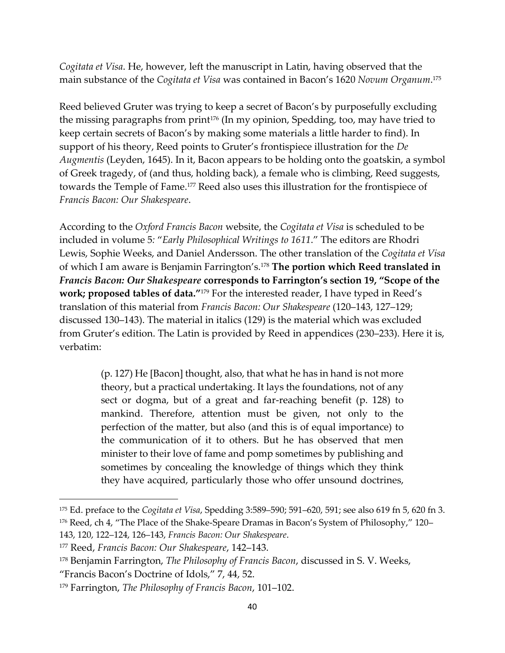*Cogitata et Visa*. He, however, left the manuscript in Latin, having observed that the main substance of the *Cogitata et Visa* was contained in Bacon's 1620 *Novum Organum*. 175

Reed believed Gruter was trying to keep a secret of Bacon's by purposefully excluding the missing paragraphs from print<sup>176</sup> (In my opinion, Spedding, too, may have tried to keep certain secrets of Bacon's by making some materials a little harder to find). In support of his theory, Reed points to Gruter's frontispiece illustration for the *De Augmentis* (Leyden, 1645). In it, Bacon appears to be holding onto the goatskin, a symbol of Greek tragedy, of (and thus, holding back), a female who is climbing, Reed suggests, towards the Temple of Fame.<sup>177</sup> Reed also uses this illustration for the frontispiece of *Francis Bacon: Our Shakespeare*.

According to the *Oxford Francis Bacon* website, the *Cogitata et Visa* is scheduled to be included in volume 5*:* "*Early Philosophical Writings to 1611*." The editors are Rhodri Lewis, Sophie Weeks, and Daniel Andersson. The other translation of the *Cogitata et Visa* of which I am aware is Benjamin Farrington's.<sup>178</sup> **The portion which Reed translated in**  *Francis Bacon: Our Shakespeare* **corresponds to Farrington's section 19, "Scope of the work; proposed tables of data."** <sup>179</sup> For the interested reader, I have typed in Reed's translation of this material from *Francis Bacon: Our Shakespeare* (120–143, 127–129; discussed 130‒143). The material in italics (129) is the material which was excluded from Gruter's edition. The Latin is provided by Reed in appendices (230-233). Here it is, verbatim:

> (p. 127) He [Bacon] thought, also, that what he has in hand is not more theory, but a practical undertaking. It lays the foundations, not of any sect or dogma, but of a great and far-reaching benefit (p. 128) to mankind. Therefore, attention must be given, not only to the perfection of the matter, but also (and this is of equal importance) to the communication of it to others. But he has observed that men minister to their love of fame and pomp sometimes by publishing and sometimes by concealing the knowledge of things which they think they have acquired, particularly those who offer unsound doctrines,

<sup>&</sup>lt;sup>175</sup> Ed. preface to the *Cogitata et Visa*, Spedding 3:589–590; 591–620, 591; see also 619 fn 5, 620 fn 3. <sup>176</sup> Reed, ch 4, "The Place of the Shake-Speare Dramas in Bacon's System of Philosophy," 120– 143, 120, 122‒124, 126‒143, *Francis Bacon: Our Shakespeare*.

<sup>177</sup> Reed, *Francis Bacon: Our Shakespeare*, 142‒143.

<sup>178</sup> Benjamin Farrington, *The Philosophy of Francis Bacon*, discussed in S. V. Weeks,

<sup>&</sup>quot;Francis Bacon's Doctrine of Idols," 7, 44, 52.

<sup>&</sup>lt;sup>179</sup> Farrington, *The Philosophy of Francis Bacon*, 101–102.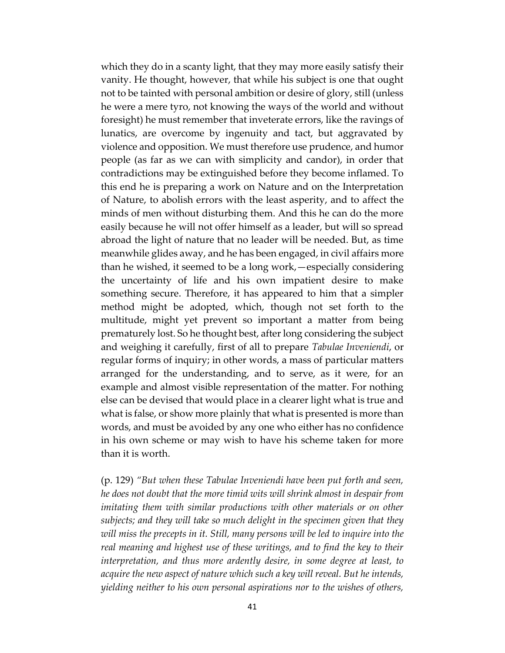which they do in a scanty light, that they may more easily satisfy their vanity. He thought, however, that while his subject is one that ought not to be tainted with personal ambition or desire of glory, still (unless he were a mere tyro, not knowing the ways of the world and without foresight) he must remember that inveterate errors, like the ravings of lunatics, are overcome by ingenuity and tact, but aggravated by violence and opposition. We must therefore use prudence, and humor people (as far as we can with simplicity and candor), in order that contradictions may be extinguished before they become inflamed. To this end he is preparing a work on Nature and on the Interpretation of Nature, to abolish errors with the least asperity, and to affect the minds of men without disturbing them. And this he can do the more easily because he will not offer himself as a leader, but will so spread abroad the light of nature that no leader will be needed. But, as time meanwhile glides away, and he has been engaged, in civil affairs more than he wished, it seemed to be a long work,—especially considering the uncertainty of life and his own impatient desire to make something secure. Therefore, it has appeared to him that a simpler method might be adopted, which, though not set forth to the multitude, might yet prevent so important a matter from being prematurely lost. So he thought best, after long considering the subject and weighing it carefully, first of all to prepare *Tabulae Inveniendi*, or regular forms of inquiry; in other words, a mass of particular matters arranged for the understanding, and to serve, as it were, for an example and almost visible representation of the matter. For nothing else can be devised that would place in a clearer light what is true and what is false, or show more plainly that what is presented is more than words, and must be avoided by any one who either has no confidence in his own scheme or may wish to have his scheme taken for more than it is worth.

(p. 129) *"But when these Tabulae Inveniendi have been put forth and seen, he does not doubt that the more timid wits will shrink almost in despair from imitating them with similar productions with other materials or on other subjects; and they will take so much delight in the specimen given that they will miss the precepts in it. Still, many persons will be led to inquire into the real meaning and highest use of these writings, and to find the key to their interpretation, and thus more ardently desire, in some degree at least, to acquire the new aspect of nature which such a key will reveal. But he intends, yielding neither to his own personal aspirations nor to the wishes of others,*